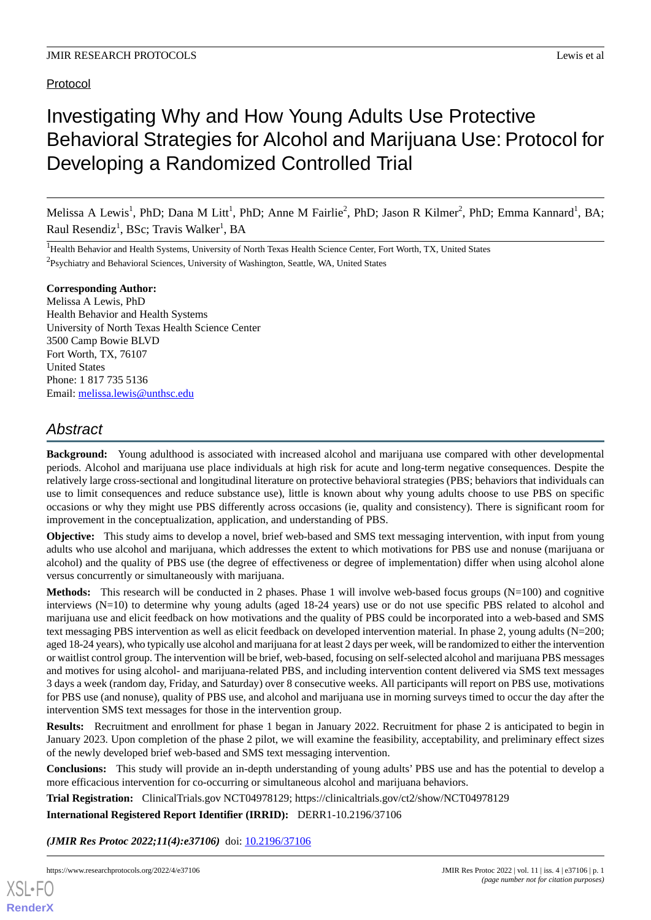## Protocol

# Investigating Why and How Young Adults Use Protective Behavioral Strategies for Alcohol and Marijuana Use: Protocol for Developing a Randomized Controlled Trial

Melissa A Lewis<sup>1</sup>, PhD; Dana M Litt<sup>1</sup>, PhD; Anne M Fairlie<sup>2</sup>, PhD; Jason R Kilmer<sup>2</sup>, PhD; Emma Kannard<sup>1</sup>, BA; Raul Resendiz<sup>1</sup>, BSc; Travis Walker<sup>1</sup>, BA

<sup>1</sup>Health Behavior and Health Systems, University of North Texas Health Science Center, Fort Worth, TX, United States <sup>2</sup>Psychiatry and Behavioral Sciences, University of Washington, Seattle, WA, United States

## **Corresponding Author:**

Melissa A Lewis, PhD Health Behavior and Health Systems University of North Texas Health Science Center 3500 Camp Bowie BLVD Fort Worth, TX, 76107 United States Phone: 1 817 735 5136 Email: [melissa.lewis@unthsc.edu](mailto:melissa.lewis@unthsc.edu)

## *Abstract*

**Background:** Young adulthood is associated with increased alcohol and marijuana use compared with other developmental periods. Alcohol and marijuana use place individuals at high risk for acute and long-term negative consequences. Despite the relatively large cross-sectional and longitudinal literature on protective behavioral strategies (PBS; behaviors that individuals can use to limit consequences and reduce substance use), little is known about why young adults choose to use PBS on specific occasions or why they might use PBS differently across occasions (ie, quality and consistency). There is significant room for improvement in the conceptualization, application, and understanding of PBS.

**Objective:** This study aims to develop a novel, brief web-based and SMS text messaging intervention, with input from young adults who use alcohol and marijuana, which addresses the extent to which motivations for PBS use and nonuse (marijuana or alcohol) and the quality of PBS use (the degree of effectiveness or degree of implementation) differ when using alcohol alone versus concurrently or simultaneously with marijuana.

**Methods:** This research will be conducted in 2 phases. Phase 1 will involve web-based focus groups (N=100) and cognitive interviews (N=10) to determine why young adults (aged 18-24 years) use or do not use specific PBS related to alcohol and marijuana use and elicit feedback on how motivations and the quality of PBS could be incorporated into a web-based and SMS text messaging PBS intervention as well as elicit feedback on developed intervention material. In phase 2, young adults (N=200; aged 18-24 years), who typically use alcohol and marijuana for at least 2 days per week, will be randomized to either the intervention or waitlist control group. The intervention will be brief, web-based, focusing on self-selected alcohol and marijuana PBS messages and motives for using alcohol- and marijuana-related PBS, and including intervention content delivered via SMS text messages 3 days a week (random day, Friday, and Saturday) over 8 consecutive weeks. All participants will report on PBS use, motivations for PBS use (and nonuse), quality of PBS use, and alcohol and marijuana use in morning surveys timed to occur the day after the intervention SMS text messages for those in the intervention group.

**Results:** Recruitment and enrollment for phase 1 began in January 2022. Recruitment for phase 2 is anticipated to begin in January 2023. Upon completion of the phase 2 pilot, we will examine the feasibility, acceptability, and preliminary effect sizes of the newly developed brief web-based and SMS text messaging intervention.

**Conclusions:** This study will provide an in-depth understanding of young adults' PBS use and has the potential to develop a more efficacious intervention for co-occurring or simultaneous alcohol and marijuana behaviors.

**Trial Registration:** ClinicalTrials.gov NCT04978129; https://clinicaltrials.gov/ct2/show/NCT04978129

**International Registered Report Identifier (IRRID):** DERR1-10.2196/37106

(JMIR Res Protoc 2022;11(4):e37106) doi: [10.2196/37106](http://dx.doi.org/10.2196/37106)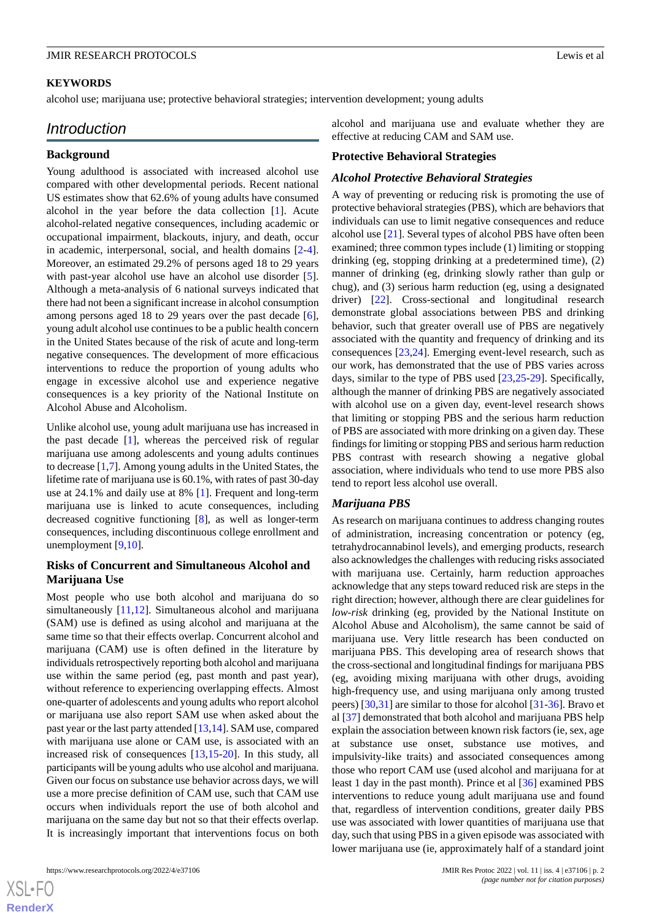#### **KEYWORDS**

alcohol use; marijuana use; protective behavioral strategies; intervention development; young adults

## *Introduction*

#### **Background**

Young adulthood is associated with increased alcohol use compared with other developmental periods. Recent national US estimates show that 62.6% of young adults have consumed alcohol in the year before the data collection [\[1](#page-10-0)]. Acute alcohol-related negative consequences, including academic or occupational impairment, blackouts, injury, and death, occur in academic, interpersonal, social, and health domains [\[2-](#page-11-0)[4\]](#page-11-1). Moreover, an estimated 29.2% of persons aged 18 to 29 years with past-year alcohol use have an alcohol use disorder [[5\]](#page-11-2). Although a meta-analysis of 6 national surveys indicated that there had not been a significant increase in alcohol consumption among persons aged 18 to 29 years over the past decade [[6\]](#page-11-3), young adult alcohol use continues to be a public health concern in the United States because of the risk of acute and long-term negative consequences. The development of more efficacious interventions to reduce the proportion of young adults who engage in excessive alcohol use and experience negative consequences is a key priority of the National Institute on Alcohol Abuse and Alcoholism.

Unlike alcohol use, young adult marijuana use has increased in the past decade [[1\]](#page-10-0), whereas the perceived risk of regular marijuana use among adolescents and young adults continues to decrease [\[1](#page-10-0),[7\]](#page-11-4). Among young adults in the United States, the lifetime rate of marijuana use is 60.1%, with rates of past 30-day use at 24.1% and daily use at 8% [[1\]](#page-10-0). Frequent and long-term marijuana use is linked to acute consequences, including decreased cognitive functioning [[8\]](#page-11-5), as well as longer-term consequences, including discontinuous college enrollment and unemployment [\[9](#page-11-6),[10\]](#page-11-7).

## **Risks of Concurrent and Simultaneous Alcohol and Marijuana Use**

Most people who use both alcohol and marijuana do so simultaneously [\[11](#page-11-8),[12\]](#page-11-9). Simultaneous alcohol and marijuana (SAM) use is defined as using alcohol and marijuana at the same time so that their effects overlap. Concurrent alcohol and marijuana (CAM) use is often defined in the literature by individuals retrospectively reporting both alcohol and marijuana use within the same period (eg, past month and past year), without reference to experiencing overlapping effects. Almost one-quarter of adolescents and young adults who report alcohol or marijuana use also report SAM use when asked about the past year or the last party attended [[13](#page-11-10)[,14](#page-11-11)]. SAM use, compared with marijuana use alone or CAM use, is associated with an increased risk of consequences [[13](#page-11-10)[,15](#page-11-12)-[20\]](#page-11-13). In this study, all participants will be young adults who use alcohol and marijuana. Given our focus on substance use behavior across days, we will use a more precise definition of CAM use, such that CAM use occurs when individuals report the use of both alcohol and marijuana on the same day but not so that their effects overlap. It is increasingly important that interventions focus on both

alcohol and marijuana use and evaluate whether they are effective at reducing CAM and SAM use.

#### **Protective Behavioral Strategies**

#### *Alcohol Protective Behavioral Strategies*

A way of preventing or reducing risk is promoting the use of protective behavioral strategies (PBS), which are behaviors that individuals can use to limit negative consequences and reduce alcohol use [\[21](#page-11-14)]. Several types of alcohol PBS have often been examined; three common types include (1) limiting or stopping drinking (eg, stopping drinking at a predetermined time), (2) manner of drinking (eg, drinking slowly rather than gulp or chug), and (3) serious harm reduction (eg, using a designated driver) [[22\]](#page-12-0). Cross-sectional and longitudinal research demonstrate global associations between PBS and drinking behavior, such that greater overall use of PBS are negatively associated with the quantity and frequency of drinking and its consequences [[23](#page-12-1)[,24](#page-12-2)]. Emerging event-level research, such as our work, has demonstrated that the use of PBS varies across days, similar to the type of PBS used [[23,](#page-12-1)[25-](#page-12-3)[29\]](#page-12-4). Specifically, although the manner of drinking PBS are negatively associated with alcohol use on a given day, event-level research shows that limiting or stopping PBS and the serious harm reduction of PBS are associated with more drinking on a given day. These findings for limiting or stopping PBS and serious harm reduction PBS contrast with research showing a negative global association, where individuals who tend to use more PBS also tend to report less alcohol use overall.

#### *Marijuana PBS*

As research on marijuana continues to address changing routes of administration, increasing concentration or potency (eg, tetrahydrocannabinol levels), and emerging products, research also acknowledges the challenges with reducing risks associated with marijuana use. Certainly, harm reduction approaches acknowledge that any steps toward reduced risk are steps in the right direction; however, although there are clear guidelines for *low-risk* drinking (eg, provided by the National Institute on Alcohol Abuse and Alcoholism), the same cannot be said of marijuana use. Very little research has been conducted on marijuana PBS. This developing area of research shows that the cross-sectional and longitudinal findings for marijuana PBS (eg, avoiding mixing marijuana with other drugs, avoiding high-frequency use, and using marijuana only among trusted peers) [[30,](#page-12-5)[31](#page-12-6)] are similar to those for alcohol [[31](#page-12-6)[-36](#page-12-7)]. Bravo et al [\[37](#page-12-8)] demonstrated that both alcohol and marijuana PBS help explain the association between known risk factors (ie, sex, age at substance use onset, substance use motives, and impulsivity-like traits) and associated consequences among those who report CAM use (used alcohol and marijuana for at least 1 day in the past month). Prince et al [[36\]](#page-12-7) examined PBS interventions to reduce young adult marijuana use and found that, regardless of intervention conditions, greater daily PBS use was associated with lower quantities of marijuana use that day, such that using PBS in a given episode was associated with lower marijuana use (ie, approximately half of a standard joint

 $XSI - F($ **[RenderX](http://www.renderx.com/)**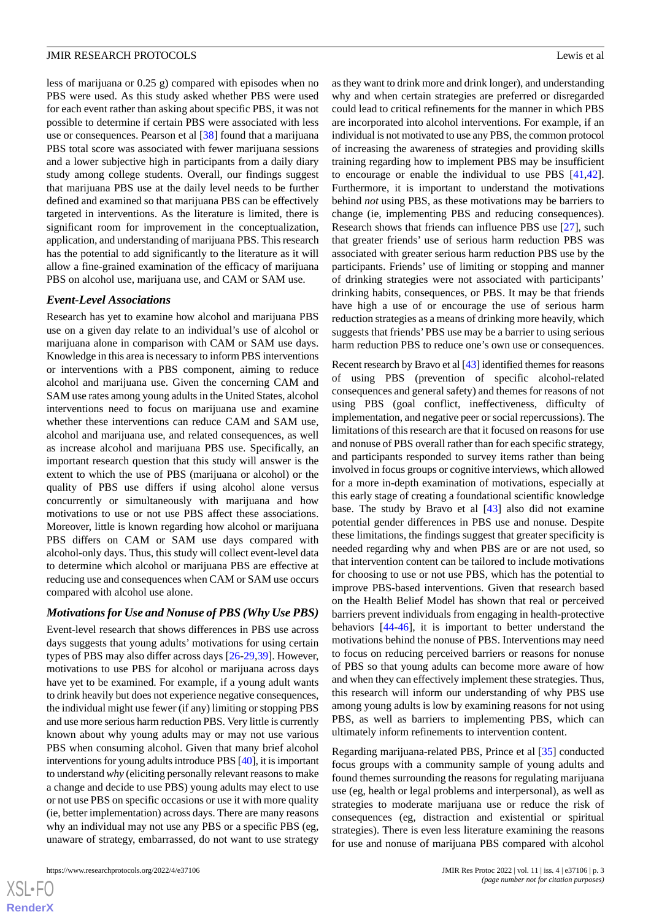less of marijuana or 0.25 g) compared with episodes when no PBS were used. As this study asked whether PBS were used for each event rather than asking about specific PBS, it was not possible to determine if certain PBS were associated with less use or consequences. Pearson et al [[38\]](#page-12-9) found that a marijuana PBS total score was associated with fewer marijuana sessions and a lower subjective high in participants from a daily diary study among college students. Overall, our findings suggest that marijuana PBS use at the daily level needs to be further defined and examined so that marijuana PBS can be effectively targeted in interventions. As the literature is limited, there is significant room for improvement in the conceptualization, application, and understanding of marijuana PBS. This research has the potential to add significantly to the literature as it will allow a fine-grained examination of the efficacy of marijuana PBS on alcohol use, marijuana use, and CAM or SAM use.

#### *Event-Level Associations*

Research has yet to examine how alcohol and marijuana PBS use on a given day relate to an individual's use of alcohol or marijuana alone in comparison with CAM or SAM use days. Knowledge in this area is necessary to inform PBS interventions or interventions with a PBS component, aiming to reduce alcohol and marijuana use. Given the concerning CAM and SAM use rates among young adults in the United States, alcohol interventions need to focus on marijuana use and examine whether these interventions can reduce CAM and SAM use, alcohol and marijuana use, and related consequences, as well as increase alcohol and marijuana PBS use. Specifically, an important research question that this study will answer is the extent to which the use of PBS (marijuana or alcohol) or the quality of PBS use differs if using alcohol alone versus concurrently or simultaneously with marijuana and how motivations to use or not use PBS affect these associations. Moreover, little is known regarding how alcohol or marijuana PBS differs on CAM or SAM use days compared with alcohol-only days. Thus, this study will collect event-level data to determine which alcohol or marijuana PBS are effective at reducing use and consequences when CAM or SAM use occurs compared with alcohol use alone.

#### *Motivations for Use and Nonuse of PBS (Why Use PBS)*

Event-level research that shows differences in PBS use across days suggests that young adults' motivations for using certain types of PBS may also differ across days [[26-](#page-12-10)[29,](#page-12-4)[39\]](#page-12-11). However, motivations to use PBS for alcohol or marijuana across days have yet to be examined. For example, if a young adult wants to drink heavily but does not experience negative consequences, the individual might use fewer (if any) limiting or stopping PBS and use more serious harm reduction PBS. Very little is currently known about why young adults may or may not use various PBS when consuming alcohol. Given that many brief alcohol interventions for young adults introduce PBS [[40\]](#page-12-12), it is important to understand *why* (eliciting personally relevant reasons to make a change and decide to use PBS) young adults may elect to use or not use PBS on specific occasions or use it with more quality (ie, better implementation) across days. There are many reasons why an individual may not use any PBS or a specific PBS (eg, unaware of strategy, embarrassed, do not want to use strategy

as they want to drink more and drink longer), and understanding why and when certain strategies are preferred or disregarded could lead to critical refinements for the manner in which PBS are incorporated into alcohol interventions. For example, if an individual is not motivated to use any PBS, the common protocol of increasing the awareness of strategies and providing skills training regarding how to implement PBS may be insufficient to encourage or enable the individual to use PBS [\[41](#page-12-13),[42\]](#page-12-14). Furthermore, it is important to understand the motivations behind *not* using PBS, as these motivations may be barriers to change (ie, implementing PBS and reducing consequences). Research shows that friends can influence PBS use [[27\]](#page-12-15), such that greater friends' use of serious harm reduction PBS was associated with greater serious harm reduction PBS use by the participants. Friends' use of limiting or stopping and manner of drinking strategies were not associated with participants' drinking habits, consequences, or PBS. It may be that friends have high a use of or encourage the use of serious harm reduction strategies as a means of drinking more heavily, which suggests that friends'PBS use may be a barrier to using serious harm reduction PBS to reduce one's own use or consequences.

Recent research by Bravo et al [\[43\]](#page-13-0) identified themes for reasons of using PBS (prevention of specific alcohol-related consequences and general safety) and themes for reasons of not using PBS (goal conflict, ineffectiveness, difficulty of implementation, and negative peer or social repercussions). The limitations of this research are that it focused on reasons for use and nonuse of PBS overall rather than for each specific strategy, and participants responded to survey items rather than being involved in focus groups or cognitive interviews, which allowed for a more in-depth examination of motivations, especially at this early stage of creating a foundational scientific knowledge base. The study by Bravo et al [\[43](#page-13-0)] also did not examine potential gender differences in PBS use and nonuse. Despite these limitations, the findings suggest that greater specificity is needed regarding why and when PBS are or are not used, so that intervention content can be tailored to include motivations for choosing to use or not use PBS, which has the potential to improve PBS-based interventions. Given that research based on the Health Belief Model has shown that real or perceived barriers prevent individuals from engaging in health-protective behaviors [[44-](#page-13-1)[46](#page-13-2)], it is important to better understand the motivations behind the nonuse of PBS. Interventions may need to focus on reducing perceived barriers or reasons for nonuse of PBS so that young adults can become more aware of how and when they can effectively implement these strategies. Thus, this research will inform our understanding of why PBS use among young adults is low by examining reasons for not using PBS, as well as barriers to implementing PBS, which can ultimately inform refinements to intervention content.

Regarding marijuana-related PBS, Prince et al [[35\]](#page-12-16) conducted focus groups with a community sample of young adults and found themes surrounding the reasons for regulating marijuana use (eg, health or legal problems and interpersonal), as well as strategies to moderate marijuana use or reduce the risk of consequences (eg, distraction and existential or spiritual strategies). There is even less literature examining the reasons for use and nonuse of marijuana PBS compared with alcohol

```
XS • FC
RenderX
```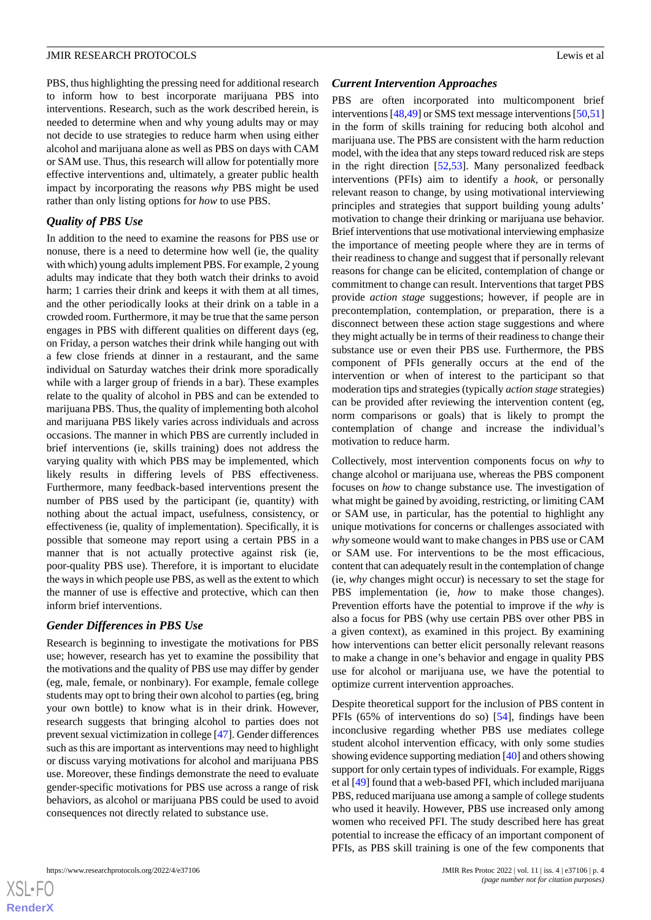PBS, thus highlighting the pressing need for additional research to inform how to best incorporate marijuana PBS into interventions. Research, such as the work described herein, is needed to determine when and why young adults may or may not decide to use strategies to reduce harm when using either alcohol and marijuana alone as well as PBS on days with CAM or SAM use. Thus, this research will allow for potentially more effective interventions and, ultimately, a greater public health impact by incorporating the reasons *why* PBS might be used rather than only listing options for *how* to use PBS.

## *Quality of PBS Use*

In addition to the need to examine the reasons for PBS use or nonuse, there is a need to determine how well (ie, the quality with which) young adults implement PBS. For example, 2 young adults may indicate that they both watch their drinks to avoid harm; 1 carries their drink and keeps it with them at all times, and the other periodically looks at their drink on a table in a crowded room. Furthermore, it may be true that the same person engages in PBS with different qualities on different days (eg, on Friday, a person watches their drink while hanging out with a few close friends at dinner in a restaurant, and the same individual on Saturday watches their drink more sporadically while with a larger group of friends in a bar). These examples relate to the quality of alcohol in PBS and can be extended to marijuana PBS. Thus, the quality of implementing both alcohol and marijuana PBS likely varies across individuals and across occasions. The manner in which PBS are currently included in brief interventions (ie, skills training) does not address the varying quality with which PBS may be implemented, which likely results in differing levels of PBS effectiveness. Furthermore, many feedback-based interventions present the number of PBS used by the participant (ie, quantity) with nothing about the actual impact, usefulness, consistency, or effectiveness (ie, quality of implementation). Specifically, it is possible that someone may report using a certain PBS in a manner that is not actually protective against risk (ie, poor-quality PBS use). Therefore, it is important to elucidate the ways in which people use PBS, as well as the extent to which the manner of use is effective and protective, which can then inform brief interventions.

#### *Gender Differences in PBS Use*

Research is beginning to investigate the motivations for PBS use; however, research has yet to examine the possibility that the motivations and the quality of PBS use may differ by gender (eg, male, female, or nonbinary). For example, female college students may opt to bring their own alcohol to parties (eg, bring your own bottle) to know what is in their drink. However, research suggests that bringing alcohol to parties does not prevent sexual victimization in college [[47\]](#page-13-3). Gender differences such as this are important as interventions may need to highlight or discuss varying motivations for alcohol and marijuana PBS use. Moreover, these findings demonstrate the need to evaluate gender-specific motivations for PBS use across a range of risk behaviors, as alcohol or marijuana PBS could be used to avoid consequences not directly related to substance use.

#### *Current Intervention Approaches*

PBS are often incorporated into multicomponent brief interventions [\[48](#page-13-4)[,49](#page-13-5)] or SMS text message interventions [\[50](#page-13-6),[51\]](#page-13-7) in the form of skills training for reducing both alcohol and marijuana use. The PBS are consistent with the harm reduction model, with the idea that any steps toward reduced risk are steps in the right direction [\[52](#page-13-8),[53\]](#page-13-9). Many personalized feedback interventions (PFIs) aim to identify a *hook*, or personally relevant reason to change, by using motivational interviewing principles and strategies that support building young adults' motivation to change their drinking or marijuana use behavior. Brief interventions that use motivational interviewing emphasize the importance of meeting people where they are in terms of their readiness to change and suggest that if personally relevant reasons for change can be elicited, contemplation of change or commitment to change can result. Interventions that target PBS provide *action stage* suggestions; however, if people are in precontemplation, contemplation, or preparation, there is a disconnect between these action stage suggestions and where they might actually be in terms of their readiness to change their substance use or even their PBS use. Furthermore, the PBS component of PFIs generally occurs at the end of the intervention or when of interest to the participant so that moderation tips and strategies (typically *action stage* strategies) can be provided after reviewing the intervention content (eg, norm comparisons or goals) that is likely to prompt the contemplation of change and increase the individual's motivation to reduce harm.

Collectively, most intervention components focus on *why* to change alcohol or marijuana use, whereas the PBS component focuses on *how* to change substance use. The investigation of what might be gained by avoiding, restricting, or limiting CAM or SAM use, in particular, has the potential to highlight any unique motivations for concerns or challenges associated with *why* someone would want to make changes in PBS use or CAM or SAM use. For interventions to be the most efficacious, content that can adequately result in the contemplation of change (ie, *why* changes might occur) is necessary to set the stage for PBS implementation (ie, *how* to make those changes). Prevention efforts have the potential to improve if the *why* is also a focus for PBS (why use certain PBS over other PBS in a given context), as examined in this project. By examining how interventions can better elicit personally relevant reasons to make a change in one's behavior and engage in quality PBS use for alcohol or marijuana use, we have the potential to optimize current intervention approaches.

Despite theoretical support for the inclusion of PBS content in PFIs (65% of interventions do so) [\[54](#page-13-10)], findings have been inconclusive regarding whether PBS use mediates college student alcohol intervention efficacy, with only some studies showing evidence supporting mediation [\[40\]](#page-12-12) and others showing support for only certain types of individuals. For example, Riggs et al [\[49\]](#page-13-5) found that a web-based PFI, which included marijuana PBS, reduced marijuana use among a sample of college students who used it heavily. However, PBS use increased only among women who received PFI. The study described here has great potential to increase the efficacy of an important component of PFIs, as PBS skill training is one of the few components that

 $XS$  • FC **[RenderX](http://www.renderx.com/)**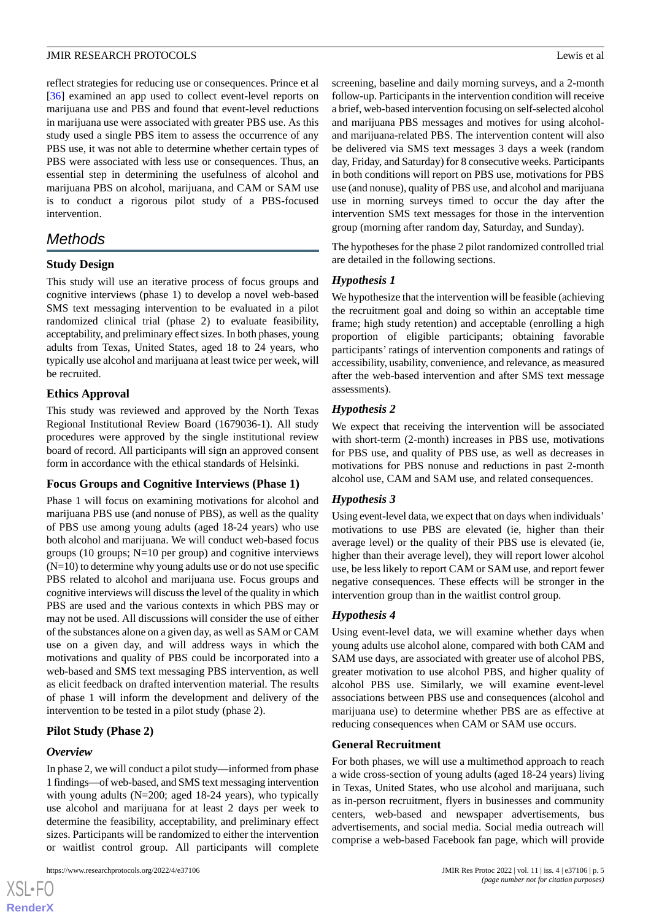reflect strategies for reducing use or consequences. Prince et al [[36\]](#page-12-7) examined an app used to collect event-level reports on marijuana use and PBS and found that event-level reductions in marijuana use were associated with greater PBS use. As this study used a single PBS item to assess the occurrence of any PBS use, it was not able to determine whether certain types of PBS were associated with less use or consequences. Thus, an essential step in determining the usefulness of alcohol and marijuana PBS on alcohol, marijuana, and CAM or SAM use is to conduct a rigorous pilot study of a PBS-focused intervention.

## *Methods*

## **Study Design**

This study will use an iterative process of focus groups and cognitive interviews (phase 1) to develop a novel web-based SMS text messaging intervention to be evaluated in a pilot randomized clinical trial (phase 2) to evaluate feasibility, acceptability, and preliminary effect sizes. In both phases, young adults from Texas, United States, aged 18 to 24 years, who typically use alcohol and marijuana at least twice per week, will be recruited.

## **Ethics Approval**

This study was reviewed and approved by the North Texas Regional Institutional Review Board (1679036-1). All study procedures were approved by the single institutional review board of record. All participants will sign an approved consent form in accordance with the ethical standards of Helsinki.

#### **Focus Groups and Cognitive Interviews (Phase 1)**

Phase 1 will focus on examining motivations for alcohol and marijuana PBS use (and nonuse of PBS), as well as the quality of PBS use among young adults (aged 18-24 years) who use both alcohol and marijuana. We will conduct web-based focus groups (10 groups; N=10 per group) and cognitive interviews  $(N=10)$  to determine why young adults use or do not use specific PBS related to alcohol and marijuana use. Focus groups and cognitive interviews will discuss the level of the quality in which PBS are used and the various contexts in which PBS may or may not be used. All discussions will consider the use of either of the substances alone on a given day, as well as SAM or CAM use on a given day, and will address ways in which the motivations and quality of PBS could be incorporated into a web-based and SMS text messaging PBS intervention, as well as elicit feedback on drafted intervention material. The results of phase 1 will inform the development and delivery of the intervention to be tested in a pilot study (phase 2).

## **Pilot Study (Phase 2)**

#### *Overview*

 $XSJ \cdot F$ **[RenderX](http://www.renderx.com/)**

In phase 2, we will conduct a pilot study—informed from phase 1 findings—of web-based, and SMS text messaging intervention with young adults (N=200; aged 18-24 years), who typically use alcohol and marijuana for at least 2 days per week to determine the feasibility, acceptability, and preliminary effect sizes. Participants will be randomized to either the intervention or waitlist control group*.* All participants will complete

```
https://www.researchprotocols.org/2022/4/e37106 JMIR Res Protoc 2022 | vol. 11 | iss. 4 | e37106 | p. 5
```
screening, baseline and daily morning surveys, and a 2-month follow-up. Participants in the intervention condition will receive a brief, web-based intervention focusing on self-selected alcohol and marijuana PBS messages and motives for using alcoholand marijuana-related PBS. The intervention content will also be delivered via SMS text messages 3 days a week (random day, Friday, and Saturday) for 8 consecutive weeks. Participants in both conditions will report on PBS use, motivations for PBS use (and nonuse), quality of PBS use, and alcohol and marijuana use in morning surveys timed to occur the day after the intervention SMS text messages for those in the intervention group (morning after random day, Saturday, and Sunday).

The hypotheses for the phase 2 pilot randomized controlled trial are detailed in the following sections.

## *Hypothesis 1*

We hypothesize that the intervention will be feasible (achieving the recruitment goal and doing so within an acceptable time frame; high study retention) and acceptable (enrolling a high proportion of eligible participants; obtaining favorable participants' ratings of intervention components and ratings of accessibility, usability, convenience, and relevance, as measured after the web-based intervention and after SMS text message assessments).

## *Hypothesis 2*

We expect that receiving the intervention will be associated with short-term (2-month) increases in PBS use, motivations for PBS use, and quality of PBS use, as well as decreases in motivations for PBS nonuse and reductions in past 2-month alcohol use, CAM and SAM use, and related consequences.

## *Hypothesis 3*

Using event-level data, we expect that on days when individuals' motivations to use PBS are elevated (ie, higher than their average level) or the quality of their PBS use is elevated (ie, higher than their average level), they will report lower alcohol use, be less likely to report CAM or SAM use, and report fewer negative consequences. These effects will be stronger in the intervention group than in the waitlist control group.

#### *Hypothesis 4*

Using event-level data, we will examine whether days when young adults use alcohol alone, compared with both CAM and SAM use days, are associated with greater use of alcohol PBS, greater motivation to use alcohol PBS, and higher quality of alcohol PBS use. Similarly, we will examine event-level associations between PBS use and consequences (alcohol and marijuana use) to determine whether PBS are as effective at reducing consequences when CAM or SAM use occurs.

#### **General Recruitment**

For both phases, we will use a multimethod approach to reach a wide cross-section of young adults (aged 18-24 years) living in Texas, United States, who use alcohol and marijuana, such as in-person recruitment, flyers in businesses and community centers, web-based and newspaper advertisements, bus advertisements, and social media. Social media outreach will comprise a web-based Facebook fan page, which will provide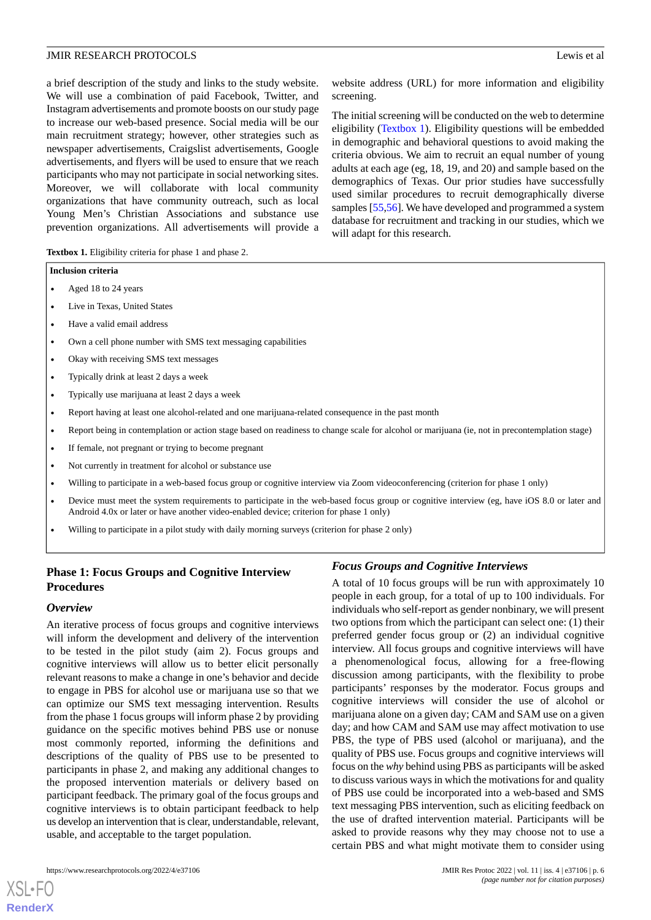website address (URL) for more information and eligibility

The initial screening will be conducted on the web to determine eligibility ([Textbox 1\)](#page-5-0). Eligibility questions will be embedded in demographic and behavioral questions to avoid making the criteria obvious. We aim to recruit an equal number of young adults at each age (eg, 18, 19, and 20) and sample based on the demographics of Texas. Our prior studies have successfully used similar procedures to recruit demographically diverse samples [\[55](#page-13-11),[56\]](#page-13-12). We have developed and programmed a system database for recruitment and tracking in our studies, which we

a brief description of the study and links to the study website. We will use a combination of paid Facebook, Twitter, and Instagram advertisements and promote boosts on our study page to increase our web-based presence. Social media will be our main recruitment strategy; however, other strategies such as newspaper advertisements, Craigslist advertisements, Google advertisements, and flyers will be used to ensure that we reach participants who may not participate in social networking sites. Moreover, we will collaborate with local community organizations that have community outreach, such as local Young Men's Christian Associations and substance use prevention organizations. All advertisements will provide a

<span id="page-5-0"></span>**Textbox 1.** Eligibility criteria for phase 1 and phase 2.

#### **Inclusion criteria**

- Aged 18 to 24 years
- Live in Texas, United States
- Have a valid email address
- Own a cell phone number with SMS text messaging capabilities
- Okay with receiving SMS text messages
- Typically drink at least 2 days a week
- Typically use marijuana at least 2 days a week
- Report having at least one alcohol-related and one marijuana-related consequence in the past month
- Report being in contemplation or action stage based on readiness to change scale for alcohol or marijuana (ie, not in precontemplation stage)

screening.

will adapt for this research.

- If female, not pregnant or trying to become pregnant
- Not currently in treatment for alcohol or substance use
- Willing to participate in a web-based focus group or cognitive interview via Zoom videoconferencing (criterion for phase 1 only)
- Device must meet the system requirements to participate in the web-based focus group or cognitive interview (eg, have iOS 8.0 or later and Android 4.0x or later or have another video-enabled device; criterion for phase 1 only)
- Willing to participate in a pilot study with daily morning surveys (criterion for phase 2 only)

## **Phase 1: Focus Groups and Cognitive Interview Procedures**

#### *Overview*

[XSL](http://www.w3.org/Style/XSL)•FO **[RenderX](http://www.renderx.com/)**

An iterative process of focus groups and cognitive interviews will inform the development and delivery of the intervention to be tested in the pilot study (aim 2). Focus groups and cognitive interviews will allow us to better elicit personally relevant reasons to make a change in one's behavior and decide to engage in PBS for alcohol use or marijuana use so that we can optimize our SMS text messaging intervention. Results from the phase 1 focus groups will inform phase 2 by providing guidance on the specific motives behind PBS use or nonuse most commonly reported, informing the definitions and descriptions of the quality of PBS use to be presented to participants in phase 2, and making any additional changes to the proposed intervention materials or delivery based on participant feedback. The primary goal of the focus groups and cognitive interviews is to obtain participant feedback to help us develop an intervention that is clear, understandable, relevant, usable, and acceptable to the target population.

## *Focus Groups and Cognitive Interviews*

A total of 10 focus groups will be run with approximately 10 people in each group, for a total of up to 100 individuals. For individuals who self-report as gender nonbinary, we will present two options from which the participant can select one: (1) their preferred gender focus group or (2) an individual cognitive interview. All focus groups and cognitive interviews will have a phenomenological focus, allowing for a free-flowing discussion among participants, with the flexibility to probe participants' responses by the moderator. Focus groups and cognitive interviews will consider the use of alcohol or marijuana alone on a given day; CAM and SAM use on a given day; and how CAM and SAM use may affect motivation to use PBS, the type of PBS used (alcohol or marijuana), and the quality of PBS use. Focus groups and cognitive interviews will focus on the *why* behind using PBS as participants will be asked to discuss various ways in which the motivations for and quality of PBS use could be incorporated into a web-based and SMS text messaging PBS intervention, such as eliciting feedback on the use of drafted intervention material. Participants will be asked to provide reasons why they may choose not to use a certain PBS and what might motivate them to consider using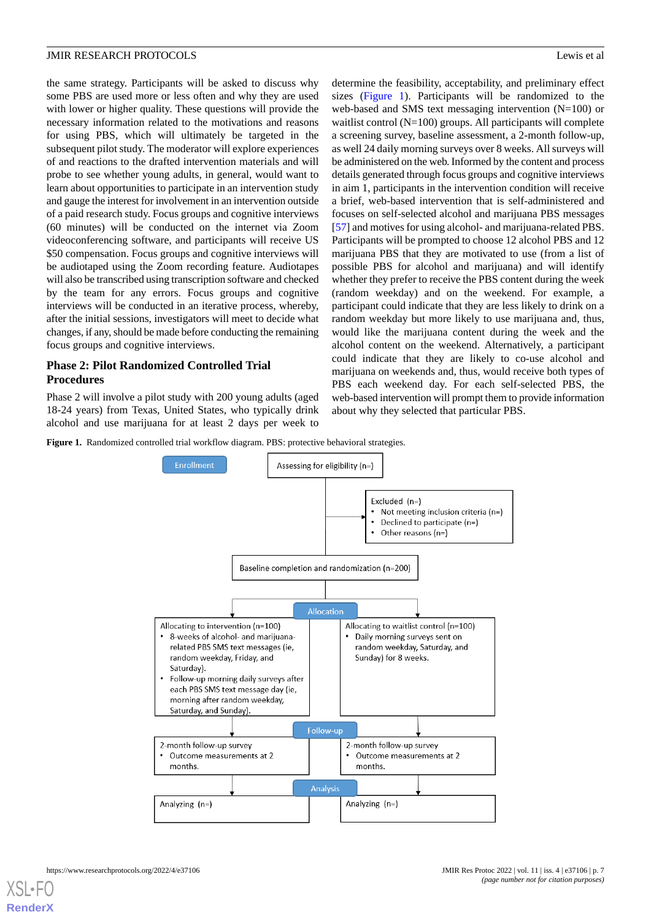the same strategy. Participants will be asked to discuss why some PBS are used more or less often and why they are used with lower or higher quality. These questions will provide the necessary information related to the motivations and reasons for using PBS, which will ultimately be targeted in the subsequent pilot study. The moderator will explore experiences of and reactions to the drafted intervention materials and will probe to see whether young adults, in general, would want to learn about opportunities to participate in an intervention study and gauge the interest for involvement in an intervention outside of a paid research study. Focus groups and cognitive interviews (60 minutes) will be conducted on the internet via Zoom videoconferencing software, and participants will receive US \$50 compensation. Focus groups and cognitive interviews will be audiotaped using the Zoom recording feature. Audiotapes will also be transcribed using transcription software and checked by the team for any errors. Focus groups and cognitive interviews will be conducted in an iterative process, whereby, after the initial sessions, investigators will meet to decide what changes, if any, should be made before conducting the remaining focus groups and cognitive interviews.

## **Phase 2: Pilot Randomized Controlled Trial Procedures**

<span id="page-6-0"></span>Phase 2 will involve a pilot study with 200 young adults (aged 18-24 years) from Texas, United States, who typically drink alcohol and use marijuana for at least 2 days per week to

Figure 1. Randomized controlled trial workflow diagram. PBS: protective behavioral strategies.



determine the feasibility, acceptability, and preliminary effect sizes ([Figure 1](#page-6-0)). Participants will be randomized to the web-based and SMS text messaging intervention (N=100) or waitlist control (N=100) groups. All participants will complete a screening survey, baseline assessment, a 2-month follow-up, as well 24 daily morning surveys over 8 weeks. All surveys will be administered on the web. Informed by the content and process details generated through focus groups and cognitive interviews in aim 1, participants in the intervention condition will receive a brief, web-based intervention that is self-administered and focuses on self-selected alcohol and marijuana PBS messages [[57\]](#page-13-13) and motives for using alcohol- and marijuana-related PBS. Participants will be prompted to choose 12 alcohol PBS and 12 marijuana PBS that they are motivated to use (from a list of possible PBS for alcohol and marijuana) and will identify whether they prefer to receive the PBS content during the week (random weekday) and on the weekend. For example, a participant could indicate that they are less likely to drink on a random weekday but more likely to use marijuana and, thus, would like the marijuana content during the week and the alcohol content on the weekend. Alternatively, a participant could indicate that they are likely to co-use alcohol and marijuana on weekends and, thus, would receive both types of PBS each weekend day. For each self-selected PBS, the web-based intervention will prompt them to provide information about why they selected that particular PBS.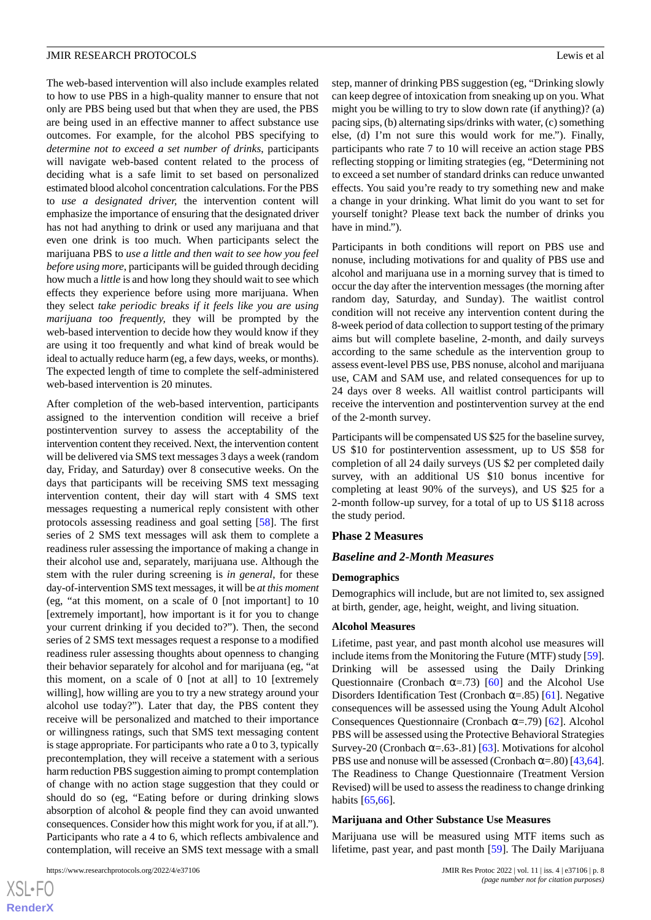The web-based intervention will also include examples related to how to use PBS in a high-quality manner to ensure that not only are PBS being used but that when they are used, the PBS are being used in an effective manner to affect substance use outcomes. For example, for the alcohol PBS specifying to *determine not to exceed a set number of drinks*, participants will navigate web-based content related to the process of deciding what is a safe limit to set based on personalized estimated blood alcohol concentration calculations. For the PBS to *use a designated driver,* the intervention content will emphasize the importance of ensuring that the designated driver has not had anything to drink or used any marijuana and that even one drink is too much. When participants select the marijuana PBS to *use a little and then wait to see how you feel before using more*, participants will be guided through deciding how much a *little* is and how long they should wait to see which effects they experience before using more marijuana. When they select *take periodic breaks if it feels like you are using marijuana too frequently,* they will be prompted by the web-based intervention to decide how they would know if they are using it too frequently and what kind of break would be ideal to actually reduce harm (eg, a few days, weeks, or months). The expected length of time to complete the self-administered web-based intervention is 20 minutes.

After completion of the web-based intervention, participants assigned to the intervention condition will receive a brief postintervention survey to assess the acceptability of the intervention content they received. Next, the intervention content will be delivered via SMS text messages 3 days a week (random day, Friday, and Saturday) over 8 consecutive weeks. On the days that participants will be receiving SMS text messaging intervention content, their day will start with 4 SMS text messages requesting a numerical reply consistent with other protocols assessing readiness and goal setting [\[58](#page-13-14)]. The first series of 2 SMS text messages will ask them to complete a readiness ruler assessing the importance of making a change in their alcohol use and, separately, marijuana use. Although the stem with the ruler during screening is *in general*, for these day-of-intervention SMS text messages, it will be *at this moment* (eg, "at this moment, on a scale of 0 [not important] to 10 [extremely important], how important is it for you to change your current drinking if you decided to?"). Then, the second series of 2 SMS text messages request a response to a modified readiness ruler assessing thoughts about openness to changing their behavior separately for alcohol and for marijuana (eg, "at this moment, on a scale of 0 [not at all] to 10 [extremely willing], how willing are you to try a new strategy around your alcohol use today?"). Later that day, the PBS content they receive will be personalized and matched to their importance or willingness ratings, such that SMS text messaging content is stage appropriate. For participants who rate a 0 to 3, typically precontemplation, they will receive a statement with a serious harm reduction PBS suggestion aiming to prompt contemplation of change with no action stage suggestion that they could or should do so (eg, "Eating before or during drinking slows absorption of alcohol & people find they can avoid unwanted consequences. Consider how this might work for you, if at all."). Participants who rate a 4 to 6, which reflects ambivalence and contemplation, will receive an SMS text message with a small

https://www.researchprotocols.org/2022/4/e37106 JMIR Res Protoc 2022 | vol. 11 | iss. 4 | e37106 | p. 8

[XSL](http://www.w3.org/Style/XSL)•FO **[RenderX](http://www.renderx.com/)** step, manner of drinking PBS suggestion (eg, "Drinking slowly can keep degree of intoxication from sneaking up on you. What might you be willing to try to slow down rate (if anything)? (a) pacing sips, (b) alternating sips/drinks with water, (c) something else, (d) I'm not sure this would work for me."). Finally, participants who rate 7 to 10 will receive an action stage PBS reflecting stopping or limiting strategies (eg, "Determining not to exceed a set number of standard drinks can reduce unwanted effects. You said you're ready to try something new and make a change in your drinking. What limit do you want to set for yourself tonight? Please text back the number of drinks you have in mind.").

Participants in both conditions will report on PBS use and nonuse, including motivations for and quality of PBS use and alcohol and marijuana use in a morning survey that is timed to occur the day after the intervention messages (the morning after random day, Saturday, and Sunday). The waitlist control condition will not receive any intervention content during the 8-week period of data collection to support testing of the primary aims but will complete baseline, 2-month, and daily surveys according to the same schedule as the intervention group to assess event-level PBS use, PBS nonuse, alcohol and marijuana use, CAM and SAM use*,* and related consequences for up to 24 days over 8 weeks. All waitlist control participants will receive the intervention and postintervention survey at the end of the 2-month survey*.*

Participants will be compensated US \$25 for the baseline survey, US \$10 for postintervention assessment, up to US \$58 for completion of all 24 daily surveys (US \$2 per completed daily survey, with an additional US \$10 bonus incentive for completing at least 90% of the surveys), and US \$25 for a 2-month follow-up survey, for a total of up to US \$118 across the study period.

#### **Phase 2 Measures**

#### *Baseline and 2-Month Measures*

#### **Demographics**

Demographics will include, but are not limited to, sex assigned at birth, gender, age, height, weight, and living situation.

#### **Alcohol Measures**

Lifetime, past year, and past month alcohol use measures will include items from the Monitoring the Future (MTF) study [\[59](#page-13-15)]. Drinking will be assessed using the Daily Drinking Questionnaire (Cronbach  $\alpha = .73$ ) [[60\]](#page-13-16) and the Alcohol Use Disorders Identification Test (Cronbach  $\alpha$ =.85) [[61\]](#page-13-17). Negative consequences will be assessed using the Young Adult Alcohol Consequences Questionnaire (Cronbach α=.79) [[62\]](#page-13-18). Alcohol PBS will be assessed using the Protective Behavioral Strategies Survey-20 (Cronbach  $\alpha$ =.63-.81) [\[63](#page-13-19)]. Motivations for alcohol PBS use and nonuse will be assessed (Cronbach  $\alpha$ =.80) [[43,](#page-13-0)[64\]](#page-13-20). The Readiness to Change Questionnaire (Treatment Version Revised) will be used to assess the readiness to change drinking habits [\[65](#page-13-21),[66\]](#page-14-0).

#### **Marijuana and Other Substance Use Measures**

Marijuana use will be measured using MTF items such as lifetime, past year, and past month [\[59](#page-13-15)]. The Daily Marijuana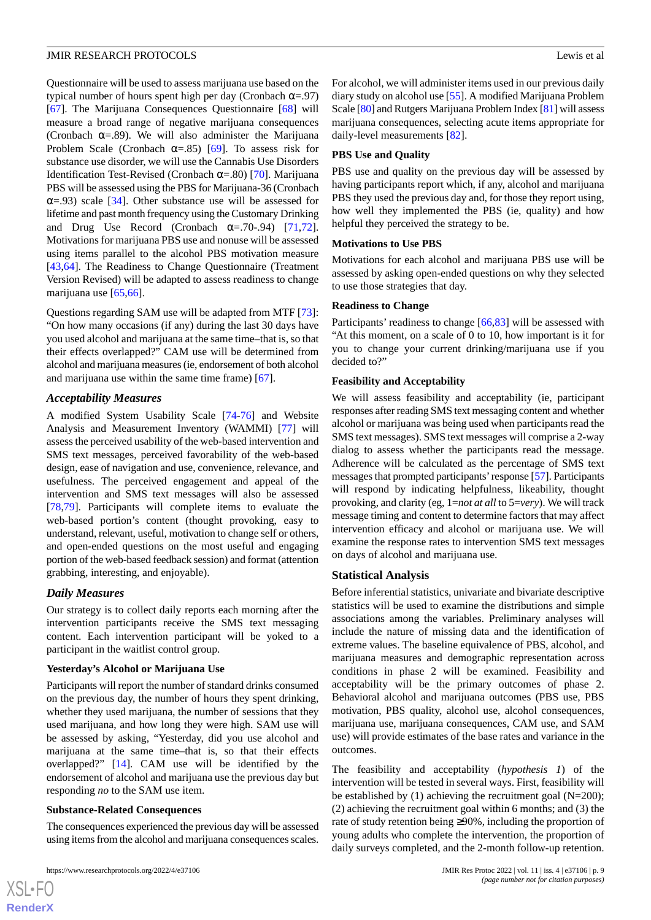Questionnaire will be used to assess marijuana use based on the typical number of hours spent high per day (Cronbach  $\alpha = .97$ ) [[67\]](#page-14-1). The Marijuana Consequences Questionnaire [\[68](#page-14-2)] will measure a broad range of negative marijuana consequences (Cronbach  $\alpha = .89$ ). We will also administer the Marijuana Problem Scale (Cronbach  $\alpha = .85$ ) [[69\]](#page-14-3). To assess risk for substance use disorder, we will use the Cannabis Use Disorders Identification Test-Revised (Cronbach α=.80) [\[70](#page-14-4)]. Marijuana PBS will be assessed using the PBS for Marijuana-36 (Cronbach  $\alpha$ =.93) scale [[34\]](#page-12-17). Other substance use will be assessed for lifetime and past month frequency using the Customary Drinking and Drug Use Record (Cronbach  $\alpha$ =.70-.94) [\[71](#page-14-5),[72\]](#page-14-6). Motivations for marijuana PBS use and nonuse will be assessed using items parallel to the alcohol PBS motivation measure [[43](#page-13-0)[,64](#page-13-20)]. The Readiness to Change Questionnaire (Treatment Version Revised) will be adapted to assess readiness to change marijuana use [\[65](#page-13-21),[66\]](#page-14-0).

Questions regarding SAM use will be adapted from MTF [[73\]](#page-14-7): "On how many occasions (if any) during the last 30 days have you used alcohol and marijuana at the same time–that is, so that their effects overlapped?" CAM use will be determined from alcohol and marijuana measures (ie, endorsement of both alcohol and marijuana use within the same time frame) [\[67](#page-14-1)].

#### *Acceptability Measures*

A modified System Usability Scale [[74-](#page-14-8)[76\]](#page-14-9) and Website Analysis and Measurement Inventory (WAMMI) [[77\]](#page-14-10) will assess the perceived usability of the web-based intervention and SMS text messages, perceived favorability of the web-based design, ease of navigation and use, convenience, relevance, and usefulness. The perceived engagement and appeal of the intervention and SMS text messages will also be assessed [[78](#page-14-11)[,79](#page-14-12)]. Participants will complete items to evaluate the web-based portion's content (thought provoking, easy to understand, relevant, useful, motivation to change self or others, and open-ended questions on the most useful and engaging portion of the web-based feedback session) and format (attention grabbing, interesting, and enjoyable).

#### *Daily Measures*

Our strategy is to collect daily reports each morning after the intervention participants receive the SMS text messaging content. Each intervention participant will be yoked to a participant in the waitlist control group.

#### **Yesterday's Alcohol or Marijuana Use**

Participants will report the number of standard drinks consumed on the previous day, the number of hours they spent drinking, whether they used marijuana, the number of sessions that they used marijuana, and how long they were high. SAM use will be assessed by asking, "Yesterday, did you use alcohol and marijuana at the same time–that is, so that their effects overlapped?" [[14\]](#page-11-11). CAM use will be identified by the endorsement of alcohol and marijuana use the previous day but responding *no* to the SAM use item.

#### **Substance-Related Consequences**

The consequences experienced the previous day will be assessed using items from the alcohol and marijuana consequences scales.

https://www.researchprotocols.org/2022/4/e37106 JMIR Res Protoc 2022 | vol. 11 | iss. 4 | e37106 | p. 9

For alcohol, we will administer items used in our previous daily diary study on alcohol use [\[55](#page-13-11)]. A modified Marijuana Problem Scale [[80\]](#page-14-13) and Rutgers Marijuana Problem Index [\[81\]](#page-14-14) will assess marijuana consequences, selecting acute items appropriate for daily-level measurements [[82\]](#page-14-15).

#### **PBS Use and Quality**

PBS use and quality on the previous day will be assessed by having participants report which, if any, alcohol and marijuana PBS they used the previous day and, for those they report using, how well they implemented the PBS (ie, quality) and how helpful they perceived the strategy to be.

#### **Motivations to Use PBS**

Motivations for each alcohol and marijuana PBS use will be assessed by asking open-ended questions on why they selected to use those strategies that day.

#### **Readiness to Change**

Participants' readiness to change [\[66](#page-14-0),[83\]](#page-14-16) will be assessed with "At this moment, on a scale of 0 to 10, how important is it for you to change your current drinking/marijuana use if you decided to?"

#### **Feasibility and Acceptability**

We will assess feasibility and acceptability (ie, participant responses after reading SMS text messaging content and whether alcohol or marijuana was being used when participants read the SMS text messages). SMS text messages will comprise a 2-way dialog to assess whether the participants read the message. Adherence will be calculated as the percentage of SMS text messages that prompted participants'response [\[57\]](#page-13-13). Participants will respond by indicating helpfulness, likeability, thought provoking, and clarity (eg, 1=*not at all*to 5=*very*). We will track message timing and content to determine factors that may affect intervention efficacy and alcohol or marijuana use. We will examine the response rates to intervention SMS text messages on days of alcohol and marijuana use.

#### **Statistical Analysis**

Before inferential statistics, univariate and bivariate descriptive statistics will be used to examine the distributions and simple associations among the variables. Preliminary analyses will include the nature of missing data and the identification of extreme values. The baseline equivalence of PBS, alcohol, and marijuana measures and demographic representation across conditions in phase 2 will be examined. Feasibility and acceptability will be the primary outcomes of phase 2. Behavioral alcohol and marijuana outcomes (PBS use, PBS motivation, PBS quality, alcohol use, alcohol consequences, marijuana use, marijuana consequences, CAM use, and SAM use) will provide estimates of the base rates and variance in the outcomes.

The feasibility and acceptability (*hypothesis 1*) of the intervention will be tested in several ways. First, feasibility will be established by (1) achieving the recruitment goal (N=200); (2) achieving the recruitment goal within 6 months; and (3) the rate of study retention being ≥90%, including the proportion of young adults who complete the intervention, the proportion of daily surveys completed, and the 2-month follow-up retention.

 $XS$  $\cdot$ FC **[RenderX](http://www.renderx.com/)**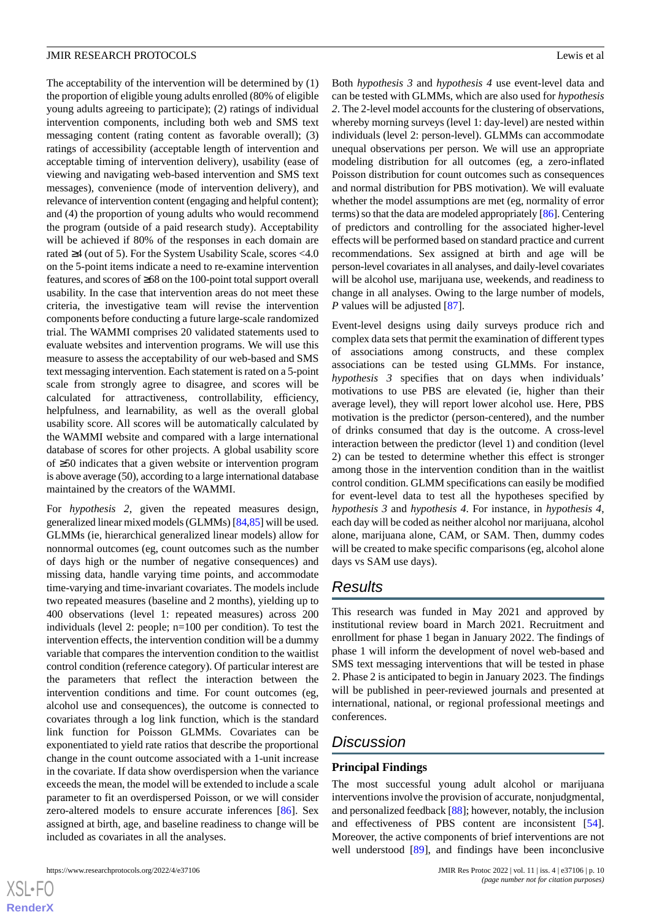The acceptability of the intervention will be determined by (1) the proportion of eligible young adults enrolled (80% of eligible young adults agreeing to participate); (2) ratings of individual intervention components, including both web and SMS text messaging content (rating content as favorable overall); (3) ratings of accessibility (acceptable length of intervention and acceptable timing of intervention delivery), usability (ease of viewing and navigating web-based intervention and SMS text messages), convenience (mode of intervention delivery), and relevance of intervention content (engaging and helpful content); and (4) the proportion of young adults who would recommend the program (outside of a paid research study). Acceptability will be achieved if 80% of the responses in each domain are rated ≥4 (out of 5). For the System Usability Scale, scores <4.0 on the 5-point items indicate a need to re-examine intervention features, and scores of ≥68 on the 100-point total support overall usability. In the case that intervention areas do not meet these criteria, the investigative team will revise the intervention components before conducting a future large-scale randomized trial. The WAMMI comprises 20 validated statements used to evaluate websites and intervention programs. We will use this measure to assess the acceptability of our web-based and SMS text messaging intervention. Each statement is rated on a 5-point scale from strongly agree to disagree, and scores will be calculated for attractiveness, controllability, efficiency, helpfulness, and learnability, as well as the overall global usability score. All scores will be automatically calculated by the WAMMI website and compared with a large international database of scores for other projects. A global usability score of ≥50 indicates that a given website or intervention program is above average (50), according to a large international database maintained by the creators of the WAMMI.

For *hypothesis 2,* given the repeated measures design, generalized linear mixed models (GLMMs) [\[84](#page-14-17)[,85\]](#page-14-18) will be used. GLMMs (ie, hierarchical generalized linear models) allow for nonnormal outcomes (eg, count outcomes such as the number of days high or the number of negative consequences) and missing data, handle varying time points, and accommodate time-varying and time-invariant covariates. The models include two repeated measures (baseline and 2 months), yielding up to 400 observations (level 1: repeated measures) across 200 individuals (level 2: people; n=100 per condition). To test the intervention effects, the intervention condition will be a dummy variable that compares the intervention condition to the waitlist control condition (reference category). Of particular interest are the parameters that reflect the interaction between the intervention conditions and time*.* For count outcomes (eg, alcohol use and consequences), the outcome is connected to covariates through a log link function, which is the standard link function for Poisson GLMMs. Covariates can be exponentiated to yield rate ratios that describe the proportional change in the count outcome associated with a 1-unit increase in the covariate. If data show overdispersion when the variance exceeds the mean, the model will be extended to include a scale parameter to fit an overdispersed Poisson, or we will consider zero-altered models to ensure accurate inferences [[86\]](#page-14-19). Sex assigned at birth, age, and baseline readiness to change will be included as covariates in all the analyses.

Both *hypothesis 3* and *hypothesis 4* use event-level data and can be tested with GLMMs, which are also used for *hypothesis 2*. The 2-level model accounts for the clustering of observations, whereby morning surveys (level 1: day-level) are nested within individuals (level 2: person-level). GLMMs can accommodate unequal observations per person. We will use an appropriate modeling distribution for all outcomes (eg, a zero-inflated Poisson distribution for count outcomes such as consequences and normal distribution for PBS motivation). We will evaluate whether the model assumptions are met (eg, normality of error terms) so that the data are modeled appropriately [[86](#page-14-19)]. Centering of predictors and controlling for the associated higher-level effects will be performed based on standard practice and current recommendations. Sex assigned at birth and age will be person-level covariates in all analyses, and daily-level covariates will be alcohol use, marijuana use, weekends, and readiness to change in all analyses. Owing to the large number of models, *P* values will be adjusted [\[87](#page-14-20)].

Event-level designs using daily surveys produce rich and complex data sets that permit the examination of different types of associations among constructs, and these complex associations can be tested using GLMMs. For instance, *hypothesis 3* specifies that on days when individuals' motivations to use PBS are elevated (ie, higher than their average level), they will report lower alcohol use. Here, PBS motivation is the predictor (person-centered), and the number of drinks consumed that day is the outcome. A cross-level interaction between the predictor (level 1) and condition (level 2) can be tested to determine whether this effect is stronger among those in the intervention condition than in the waitlist control condition. GLMM specifications can easily be modified for event-level data to test all the hypotheses specified by *hypothesis 3* and *hypothesis 4*. For instance, in *hypothesis 4*, each day will be coded as neither alcohol nor marijuana, alcohol alone, marijuana alone, CAM, or SAM. Then, dummy codes will be created to make specific comparisons (eg, alcohol alone days vs SAM use days).

## *Results*

This research was funded in May 2021 and approved by institutional review board in March 2021. Recruitment and enrollment for phase 1 began in January 2022. The findings of phase 1 will inform the development of novel web-based and SMS text messaging interventions that will be tested in phase 2. Phase 2 is anticipated to begin in January 2023. The findings will be published in peer-reviewed journals and presented at international, national, or regional professional meetings and conferences.

## *Discussion*

## **Principal Findings**

The most successful young adult alcohol or marijuana interventions involve the provision of accurate, nonjudgmental, and personalized feedback [\[88](#page-14-21)]; however, notably, the inclusion and effectiveness of PBS content are inconsistent [[54\]](#page-13-10). Moreover, the active components of brief interventions are not well understood [\[89](#page-14-22)], and findings have been inconclusive

 $XS$  $\cdot$ FC **[RenderX](http://www.renderx.com/)**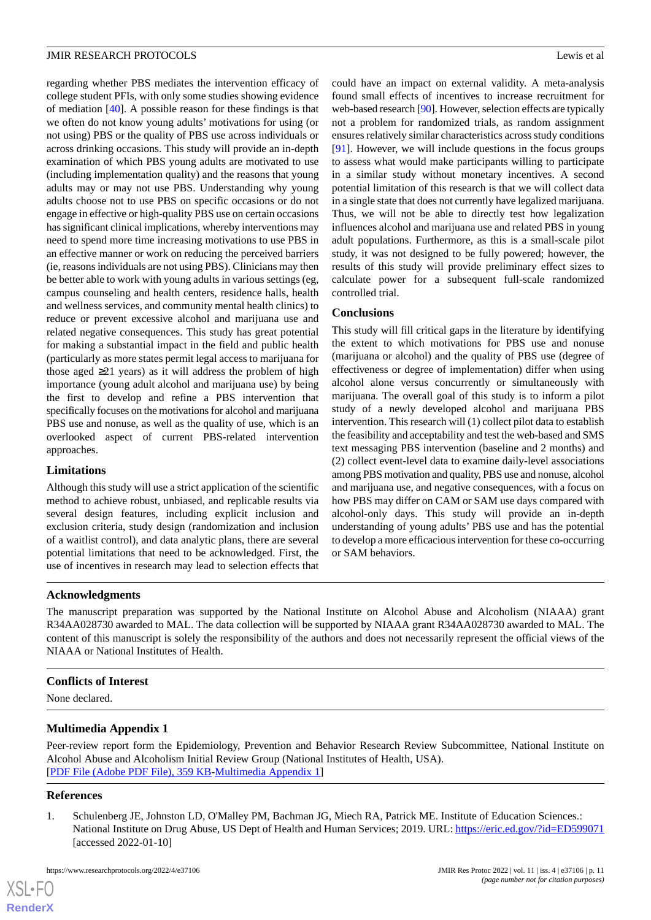regarding whether PBS mediates the intervention efficacy of college student PFIs, with only some studies showing evidence of mediation [[40\]](#page-12-12). A possible reason for these findings is that we often do not know young adults' motivations for using (or not using) PBS or the quality of PBS use across individuals or across drinking occasions. This study will provide an in-depth examination of which PBS young adults are motivated to use (including implementation quality) and the reasons that young adults may or may not use PBS. Understanding why young adults choose not to use PBS on specific occasions or do not engage in effective or high-quality PBS use on certain occasions has significant clinical implications, whereby interventions may need to spend more time increasing motivations to use PBS in an effective manner or work on reducing the perceived barriers (ie, reasons individuals are not using PBS). Clinicians may then be better able to work with young adults in various settings (eg, campus counseling and health centers, residence halls, health and wellness services, and community mental health clinics) to reduce or prevent excessive alcohol and marijuana use and related negative consequences. This study has great potential for making a substantial impact in the field and public health (particularly as more states permit legal access to marijuana for those aged ≥21 years) as it will address the problem of high importance (young adult alcohol and marijuana use) by being the first to develop and refine a PBS intervention that specifically focuses on the motivations for alcohol and marijuana PBS use and nonuse, as well as the quality of use, which is an overlooked aspect of current PBS-related intervention approaches.

## **Limitations**

Although this study will use a strict application of the scientific method to achieve robust, unbiased, and replicable results via several design features, including explicit inclusion and exclusion criteria, study design (randomization and inclusion of a waitlist control), and data analytic plans, there are several potential limitations that need to be acknowledged. First, the use of incentives in research may lead to selection effects that

could have an impact on external validity. A meta-analysis found small effects of incentives to increase recruitment for web-based research [[90](#page-15-0)]. However, selection effects are typically not a problem for randomized trials, as random assignment ensures relatively similar characteristics across study conditions [[91\]](#page-15-1). However, we will include questions in the focus groups to assess what would make participants willing to participate in a similar study without monetary incentives. A second potential limitation of this research is that we will collect data in a single state that does not currently have legalized marijuana. Thus, we will not be able to directly test how legalization influences alcohol and marijuana use and related PBS in young adult populations. Furthermore, as this is a small-scale pilot study, it was not designed to be fully powered; however, the results of this study will provide preliminary effect sizes to calculate power for a subsequent full-scale randomized controlled trial.

## **Conclusions**

This study will fill critical gaps in the literature by identifying the extent to which motivations for PBS use and nonuse (marijuana or alcohol) and the quality of PBS use (degree of effectiveness or degree of implementation) differ when using alcohol alone versus concurrently or simultaneously with marijuana. The overall goal of this study is to inform a pilot study of a newly developed alcohol and marijuana PBS intervention. This research will (1) collect pilot data to establish the feasibility and acceptability and test the web-based and SMS text messaging PBS intervention (baseline and 2 months) and (2) collect event-level data to examine daily-level associations among PBS motivation and quality, PBS use and nonuse, alcohol and marijuana use, and negative consequences, with a focus on how PBS may differ on CAM or SAM use days compared with alcohol-only days. This study will provide an in-depth understanding of young adults' PBS use and has the potential to develop a more efficacious intervention for these co-occurring or SAM behaviors.

## **Acknowledgments**

The manuscript preparation was supported by the National Institute on Alcohol Abuse and Alcoholism (NIAAA) grant R34AA028730 awarded to MAL. The data collection will be supported by NIAAA grant R34AA028730 awarded to MAL. The content of this manuscript is solely the responsibility of the authors and does not necessarily represent the official views of the NIAAA or National Institutes of Health.

## **Conflicts of Interest**

None declared.

## <span id="page-10-0"></span>**Multimedia Appendix 1**

Peer-review report form the Epidemiology, Prevention and Behavior Research Review Subcommittee, National Institute on Alcohol Abuse and Alcoholism Initial Review Group (National Institutes of Health, USA). [[PDF File \(Adobe PDF File\), 359 KB](https://jmir.org/api/download?alt_name=resprot_v11i4e37106_app1.pdf&filename=fd442c36dd7326f9154bc2e248d7b05a.pdf)-[Multimedia Appendix 1\]](https://jmir.org/api/download?alt_name=resprot_v11i4e37106_app1.pdf&filename=fd442c36dd7326f9154bc2e248d7b05a.pdf)

## **References**

 $XS$  $\cdot$ FC **[RenderX](http://www.renderx.com/)**

1. Schulenberg JE, Johnston LD, O'Malley PM, Bachman JG, Miech RA, Patrick ME. Institute of Education Sciences.: National Institute on Drug Abuse, US Dept of Health and Human Services; 2019. URL: <https://eric.ed.gov/?id=ED599071> [accessed 2022-01-10]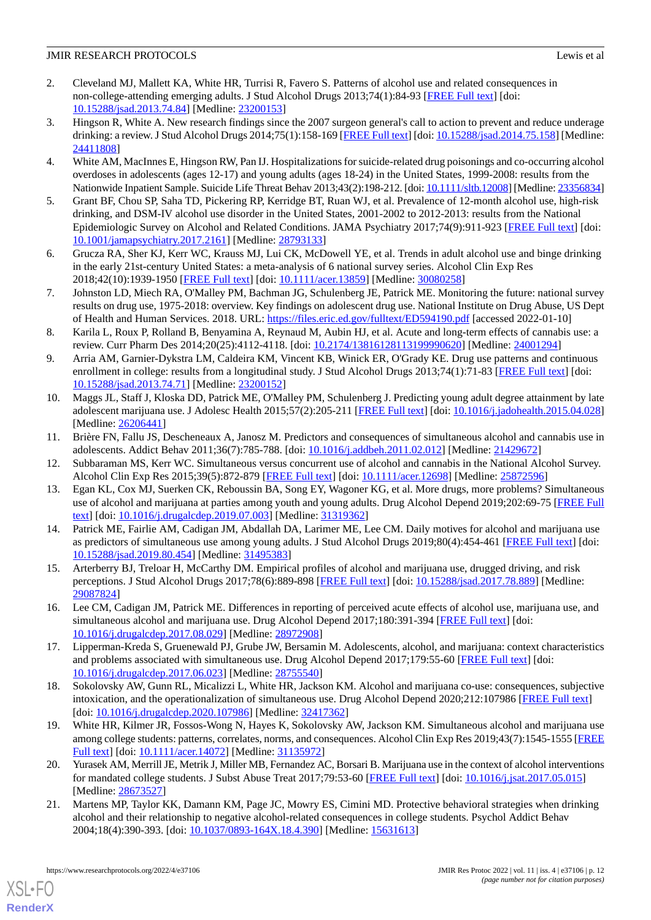- <span id="page-11-0"></span>2. Cleveland MJ, Mallett KA, White HR, Turrisi R, Favero S. Patterns of alcohol use and related consequences in non-college-attending emerging adults. J Stud Alcohol Drugs 2013;74(1):84-93 [[FREE Full text](http://europepmc.org/abstract/MED/23200153)] [doi: [10.15288/jsad.2013.74.84](http://dx.doi.org/10.15288/jsad.2013.74.84)] [Medline: [23200153](http://www.ncbi.nlm.nih.gov/entrez/query.fcgi?cmd=Retrieve&db=PubMed&list_uids=23200153&dopt=Abstract)]
- 3. Hingson R, White A. New research findings since the 2007 surgeon general's call to action to prevent and reduce underage drinking: a review. J Stud Alcohol Drugs 2014;75(1):158-169 [\[FREE Full text](http://europepmc.org/abstract/MED/24411808)] [doi: [10.15288/jsad.2014.75.158](http://dx.doi.org/10.15288/jsad.2014.75.158)] [Medline: [24411808](http://www.ncbi.nlm.nih.gov/entrez/query.fcgi?cmd=Retrieve&db=PubMed&list_uids=24411808&dopt=Abstract)]
- <span id="page-11-1"></span>4. White AM, MacInnes E, Hingson RW, Pan IJ. Hospitalizations for suicide-related drug poisonings and co-occurring alcohol overdoses in adolescents (ages 12-17) and young adults (ages 18-24) in the United States, 1999-2008: results from the Nationwide Inpatient Sample. Suicide Life Threat Behav 2013;43(2):198-212. [doi: [10.1111/sltb.12008\]](http://dx.doi.org/10.1111/sltb.12008) [Medline: [23356834](http://www.ncbi.nlm.nih.gov/entrez/query.fcgi?cmd=Retrieve&db=PubMed&list_uids=23356834&dopt=Abstract)]
- <span id="page-11-2"></span>5. Grant BF, Chou SP, Saha TD, Pickering RP, Kerridge BT, Ruan WJ, et al. Prevalence of 12-month alcohol use, high-risk drinking, and DSM-IV alcohol use disorder in the United States, 2001-2002 to 2012-2013: results from the National Epidemiologic Survey on Alcohol and Related Conditions. JAMA Psychiatry 2017;74(9):911-923 [[FREE Full text](http://europepmc.org/abstract/MED/28793133)] [doi: [10.1001/jamapsychiatry.2017.2161](http://dx.doi.org/10.1001/jamapsychiatry.2017.2161)] [Medline: [28793133](http://www.ncbi.nlm.nih.gov/entrez/query.fcgi?cmd=Retrieve&db=PubMed&list_uids=28793133&dopt=Abstract)]
- <span id="page-11-4"></span><span id="page-11-3"></span>6. Grucza RA, Sher KJ, Kerr WC, Krauss MJ, Lui CK, McDowell YE, et al. Trends in adult alcohol use and binge drinking in the early 21st-century United States: a meta-analysis of 6 national survey series. Alcohol Clin Exp Res 2018;42(10):1939-1950 [[FREE Full text](http://europepmc.org/abstract/MED/30080258)] [doi: [10.1111/acer.13859](http://dx.doi.org/10.1111/acer.13859)] [Medline: [30080258](http://www.ncbi.nlm.nih.gov/entrez/query.fcgi?cmd=Retrieve&db=PubMed&list_uids=30080258&dopt=Abstract)]
- <span id="page-11-5"></span>7. Johnston LD, Miech RA, O'Malley PM, Bachman JG, Schulenberg JE, Patrick ME. Monitoring the future: national survey results on drug use, 1975-2018: overview. Key findings on adolescent drug use. National Institute on Drug Abuse, US Dept of Health and Human Services. 2018. URL: <https://files.eric.ed.gov/fulltext/ED594190.pdf> [accessed 2022-01-10]
- <span id="page-11-6"></span>8. Karila L, Roux P, Rolland B, Benyamina A, Reynaud M, Aubin HJ, et al. Acute and long-term effects of cannabis use: a review. Curr Pharm Des 2014;20(25):4112-4118. [doi: [10.2174/13816128113199990620](http://dx.doi.org/10.2174/13816128113199990620)] [Medline: [24001294](http://www.ncbi.nlm.nih.gov/entrez/query.fcgi?cmd=Retrieve&db=PubMed&list_uids=24001294&dopt=Abstract)]
- <span id="page-11-7"></span>9. Arria AM, Garnier-Dykstra LM, Caldeira KM, Vincent KB, Winick ER, O'Grady KE. Drug use patterns and continuous enrollment in college: results from a longitudinal study. J Stud Alcohol Drugs 2013;74(1):71-83 [\[FREE Full text\]](http://europepmc.org/abstract/MED/23200152) [doi: [10.15288/jsad.2013.74.71](http://dx.doi.org/10.15288/jsad.2013.74.71)] [Medline: [23200152](http://www.ncbi.nlm.nih.gov/entrez/query.fcgi?cmd=Retrieve&db=PubMed&list_uids=23200152&dopt=Abstract)]
- <span id="page-11-8"></span>10. Maggs JL, Staff J, Kloska DD, Patrick ME, O'Malley PM, Schulenberg J. Predicting young adult degree attainment by late adolescent marijuana use. J Adolesc Health 2015;57(2):205-211 [[FREE Full text\]](http://europepmc.org/abstract/MED/26206441) [doi: [10.1016/j.jadohealth.2015.04.028](http://dx.doi.org/10.1016/j.jadohealth.2015.04.028)] [Medline: [26206441](http://www.ncbi.nlm.nih.gov/entrez/query.fcgi?cmd=Retrieve&db=PubMed&list_uids=26206441&dopt=Abstract)]
- <span id="page-11-10"></span><span id="page-11-9"></span>11. Brière FN, Fallu JS, Descheneaux A, Janosz M. Predictors and consequences of simultaneous alcohol and cannabis use in adolescents. Addict Behav 2011;36(7):785-788. [doi: [10.1016/j.addbeh.2011.02.012](http://dx.doi.org/10.1016/j.addbeh.2011.02.012)] [Medline: [21429672\]](http://www.ncbi.nlm.nih.gov/entrez/query.fcgi?cmd=Retrieve&db=PubMed&list_uids=21429672&dopt=Abstract)
- <span id="page-11-11"></span>12. Subbaraman MS, Kerr WC. Simultaneous versus concurrent use of alcohol and cannabis in the National Alcohol Survey. Alcohol Clin Exp Res 2015;39(5):872-879 [[FREE Full text\]](http://europepmc.org/abstract/MED/25872596) [doi: [10.1111/acer.12698\]](http://dx.doi.org/10.1111/acer.12698) [Medline: [25872596\]](http://www.ncbi.nlm.nih.gov/entrez/query.fcgi?cmd=Retrieve&db=PubMed&list_uids=25872596&dopt=Abstract)
- 13. Egan KL, Cox MJ, Suerken CK, Reboussin BA, Song EY, Wagoner KG, et al. More drugs, more problems? Simultaneous use of alcohol and marijuana at parties among youth and young adults. Drug Alcohol Depend 2019;202:69-75 [[FREE Full](http://europepmc.org/abstract/MED/31319362) [text](http://europepmc.org/abstract/MED/31319362)] [doi: [10.1016/j.drugalcdep.2019.07.003](http://dx.doi.org/10.1016/j.drugalcdep.2019.07.003)] [Medline: [31319362\]](http://www.ncbi.nlm.nih.gov/entrez/query.fcgi?cmd=Retrieve&db=PubMed&list_uids=31319362&dopt=Abstract)
- <span id="page-11-12"></span>14. Patrick ME, Fairlie AM, Cadigan JM, Abdallah DA, Larimer ME, Lee CM. Daily motives for alcohol and marijuana use as predictors of simultaneous use among young adults. J Stud Alcohol Drugs 2019;80(4):454-461 [\[FREE Full text\]](http://europepmc.org/abstract/MED/31495383) [doi: [10.15288/jsad.2019.80.454](http://dx.doi.org/10.15288/jsad.2019.80.454)] [Medline: [31495383](http://www.ncbi.nlm.nih.gov/entrez/query.fcgi?cmd=Retrieve&db=PubMed&list_uids=31495383&dopt=Abstract)]
- 15. Arterberry BJ, Treloar H, McCarthy DM. Empirical profiles of alcohol and marijuana use, drugged driving, and risk perceptions. J Stud Alcohol Drugs 2017;78(6):889-898 [[FREE Full text](http://europepmc.org/abstract/MED/29087824)] [doi: [10.15288/jsad.2017.78.889](http://dx.doi.org/10.15288/jsad.2017.78.889)] [Medline: [29087824](http://www.ncbi.nlm.nih.gov/entrez/query.fcgi?cmd=Retrieve&db=PubMed&list_uids=29087824&dopt=Abstract)]
- 16. Lee CM, Cadigan JM, Patrick ME. Differences in reporting of perceived acute effects of alcohol use, marijuana use, and simultaneous alcohol and marijuana use. Drug Alcohol Depend 2017;180:391-394 [[FREE Full text](http://europepmc.org/abstract/MED/28972908)] [doi: [10.1016/j.drugalcdep.2017.08.029\]](http://dx.doi.org/10.1016/j.drugalcdep.2017.08.029) [Medline: [28972908\]](http://www.ncbi.nlm.nih.gov/entrez/query.fcgi?cmd=Retrieve&db=PubMed&list_uids=28972908&dopt=Abstract)
- 17. Lipperman-Kreda S, Gruenewald PJ, Grube JW, Bersamin M. Adolescents, alcohol, and marijuana: context characteristics and problems associated with simultaneous use. Drug Alcohol Depend 2017;179:55-60 [[FREE Full text](http://europepmc.org/abstract/MED/28755540)] [doi: [10.1016/j.drugalcdep.2017.06.023\]](http://dx.doi.org/10.1016/j.drugalcdep.2017.06.023) [Medline: [28755540\]](http://www.ncbi.nlm.nih.gov/entrez/query.fcgi?cmd=Retrieve&db=PubMed&list_uids=28755540&dopt=Abstract)
- <span id="page-11-13"></span>18. Sokolovsky AW, Gunn RL, Micalizzi L, White HR, Jackson KM. Alcohol and marijuana co-use: consequences, subjective intoxication, and the operationalization of simultaneous use. Drug Alcohol Depend 2020;212:107986 [[FREE Full text](http://europepmc.org/abstract/MED/32417362)] [doi: [10.1016/j.drugalcdep.2020.107986\]](http://dx.doi.org/10.1016/j.drugalcdep.2020.107986) [Medline: [32417362\]](http://www.ncbi.nlm.nih.gov/entrez/query.fcgi?cmd=Retrieve&db=PubMed&list_uids=32417362&dopt=Abstract)
- <span id="page-11-14"></span>19. White HR, Kilmer JR, Fossos-Wong N, Hayes K, Sokolovsky AW, Jackson KM. Simultaneous alcohol and marijuana use among college students: patterns, correlates, norms, and consequences. Alcohol Clin Exp Res 2019;43(7):1545-1555 [[FREE](http://europepmc.org/abstract/MED/31135972) [Full text\]](http://europepmc.org/abstract/MED/31135972) [doi: [10.1111/acer.14072](http://dx.doi.org/10.1111/acer.14072)] [Medline: [31135972\]](http://www.ncbi.nlm.nih.gov/entrez/query.fcgi?cmd=Retrieve&db=PubMed&list_uids=31135972&dopt=Abstract)
- 20. Yurasek AM, Merrill JE, Metrik J, Miller MB, Fernandez AC, Borsari B. Marijuana use in the context of alcohol interventions for mandated college students. J Subst Abuse Treat 2017;79:53-60 [\[FREE Full text](http://europepmc.org/abstract/MED/28673527)] [doi: [10.1016/j.jsat.2017.05.015\]](http://dx.doi.org/10.1016/j.jsat.2017.05.015) [Medline: [28673527](http://www.ncbi.nlm.nih.gov/entrez/query.fcgi?cmd=Retrieve&db=PubMed&list_uids=28673527&dopt=Abstract)]
- 21. Martens MP, Taylor KK, Damann KM, Page JC, Mowry ES, Cimini MD. Protective behavioral strategies when drinking alcohol and their relationship to negative alcohol-related consequences in college students. Psychol Addict Behav 2004;18(4):390-393. [doi: [10.1037/0893-164X.18.4.390\]](http://dx.doi.org/10.1037/0893-164X.18.4.390) [Medline: [15631613\]](http://www.ncbi.nlm.nih.gov/entrez/query.fcgi?cmd=Retrieve&db=PubMed&list_uids=15631613&dopt=Abstract)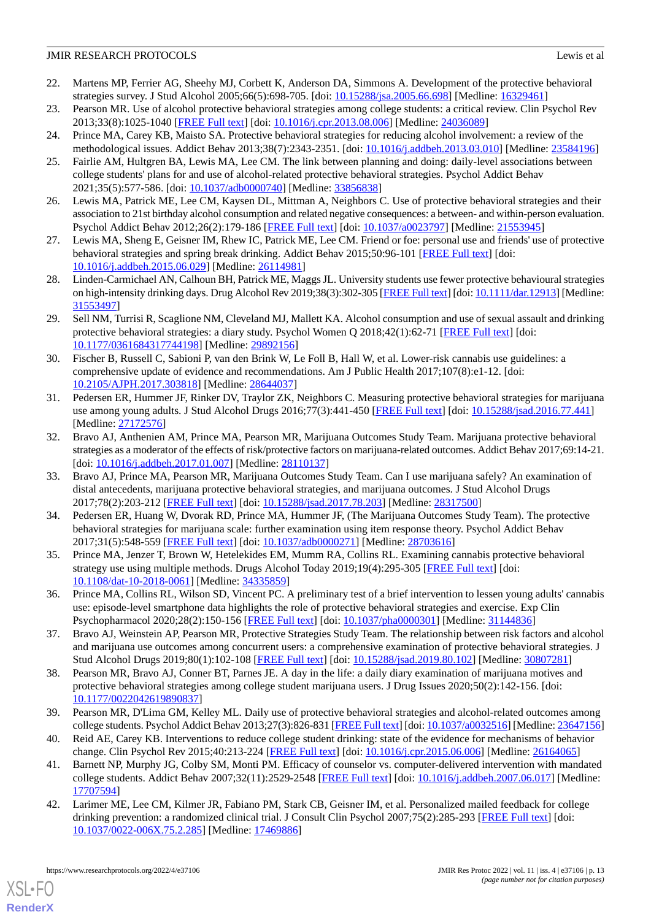- <span id="page-12-0"></span>22. Martens MP, Ferrier AG, Sheehy MJ, Corbett K, Anderson DA, Simmons A. Development of the protective behavioral strategies survey. J Stud Alcohol 2005;66(5):698-705. [doi: [10.15288/jsa.2005.66.698](http://dx.doi.org/10.15288/jsa.2005.66.698)] [Medline: [16329461\]](http://www.ncbi.nlm.nih.gov/entrez/query.fcgi?cmd=Retrieve&db=PubMed&list_uids=16329461&dopt=Abstract)
- <span id="page-12-2"></span><span id="page-12-1"></span>23. Pearson MR. Use of alcohol protective behavioral strategies among college students: a critical review. Clin Psychol Rev 2013;33(8):1025-1040 [[FREE Full text](http://europepmc.org/abstract/MED/24036089)] [doi: [10.1016/j.cpr.2013.08.006\]](http://dx.doi.org/10.1016/j.cpr.2013.08.006) [Medline: [24036089\]](http://www.ncbi.nlm.nih.gov/entrez/query.fcgi?cmd=Retrieve&db=PubMed&list_uids=24036089&dopt=Abstract)
- <span id="page-12-3"></span>24. Prince MA, Carey KB, Maisto SA. Protective behavioral strategies for reducing alcohol involvement: a review of the methodological issues. Addict Behav 2013;38(7):2343-2351. [doi: [10.1016/j.addbeh.2013.03.010\]](http://dx.doi.org/10.1016/j.addbeh.2013.03.010) [Medline: [23584196](http://www.ncbi.nlm.nih.gov/entrez/query.fcgi?cmd=Retrieve&db=PubMed&list_uids=23584196&dopt=Abstract)]
- <span id="page-12-10"></span>25. Fairlie AM, Hultgren BA, Lewis MA, Lee CM. The link between planning and doing: daily-level associations between college students' plans for and use of alcohol-related protective behavioral strategies. Psychol Addict Behav 2021;35(5):577-586. [doi: [10.1037/adb0000740](http://dx.doi.org/10.1037/adb0000740)] [Medline: [33856838\]](http://www.ncbi.nlm.nih.gov/entrez/query.fcgi?cmd=Retrieve&db=PubMed&list_uids=33856838&dopt=Abstract)
- <span id="page-12-15"></span>26. Lewis MA, Patrick ME, Lee CM, Kaysen DL, Mittman A, Neighbors C. Use of protective behavioral strategies and their association to 21st birthday alcohol consumption and related negative consequences: a between- and within-person evaluation. Psychol Addict Behav 2012;26(2):179-186 [[FREE Full text](http://europepmc.org/abstract/MED/21553945)] [doi: [10.1037/a0023797](http://dx.doi.org/10.1037/a0023797)] [Medline: [21553945\]](http://www.ncbi.nlm.nih.gov/entrez/query.fcgi?cmd=Retrieve&db=PubMed&list_uids=21553945&dopt=Abstract)
- 27. Lewis MA, Sheng E, Geisner IM, Rhew IC, Patrick ME, Lee CM. Friend or foe: personal use and friends' use of protective behavioral strategies and spring break drinking. Addict Behav 2015;50:96-101 [\[FREE Full text\]](http://europepmc.org/abstract/MED/26114981) [doi: [10.1016/j.addbeh.2015.06.029](http://dx.doi.org/10.1016/j.addbeh.2015.06.029)] [Medline: [26114981](http://www.ncbi.nlm.nih.gov/entrez/query.fcgi?cmd=Retrieve&db=PubMed&list_uids=26114981&dopt=Abstract)]
- <span id="page-12-4"></span>28. Linden-Carmichael AN, Calhoun BH, Patrick ME, Maggs JL. University students use fewer protective behavioural strategies on high-intensity drinking days. Drug Alcohol Rev 2019;38(3):302-305 [[FREE Full text](http://europepmc.org/abstract/MED/31553497)] [doi: [10.1111/dar.12913\]](http://dx.doi.org/10.1111/dar.12913) [Medline: [31553497](http://www.ncbi.nlm.nih.gov/entrez/query.fcgi?cmd=Retrieve&db=PubMed&list_uids=31553497&dopt=Abstract)]
- <span id="page-12-5"></span>29. Sell NM, Turrisi R, Scaglione NM, Cleveland MJ, Mallett KA. Alcohol consumption and use of sexual assault and drinking protective behavioral strategies: a diary study. Psychol Women Q 2018;42(1):62-71 [[FREE Full text](http://europepmc.org/abstract/MED/29892156)] [doi: [10.1177/0361684317744198\]](http://dx.doi.org/10.1177/0361684317744198) [Medline: [29892156\]](http://www.ncbi.nlm.nih.gov/entrez/query.fcgi?cmd=Retrieve&db=PubMed&list_uids=29892156&dopt=Abstract)
- <span id="page-12-6"></span>30. Fischer B, Russell C, Sabioni P, van den Brink W, Le Foll B, Hall W, et al. Lower-risk cannabis use guidelines: a comprehensive update of evidence and recommendations. Am J Public Health 2017;107(8):e1-12. [doi: [10.2105/AJPH.2017.303818\]](http://dx.doi.org/10.2105/AJPH.2017.303818) [Medline: [28644037](http://www.ncbi.nlm.nih.gov/entrez/query.fcgi?cmd=Retrieve&db=PubMed&list_uids=28644037&dopt=Abstract)]
- 31. Pedersen ER, Hummer JF, Rinker DV, Traylor ZK, Neighbors C. Measuring protective behavioral strategies for marijuana use among young adults. J Stud Alcohol Drugs 2016;77(3):441-450 [[FREE Full text](http://europepmc.org/abstract/MED/27172576)] [doi: [10.15288/jsad.2016.77.441](http://dx.doi.org/10.15288/jsad.2016.77.441)] [Medline: [27172576](http://www.ncbi.nlm.nih.gov/entrez/query.fcgi?cmd=Retrieve&db=PubMed&list_uids=27172576&dopt=Abstract)]
- 32. Bravo AJ, Anthenien AM, Prince MA, Pearson MR, Marijuana Outcomes Study Team. Marijuana protective behavioral strategies as a moderator of the effects of risk/protective factors on marijuana-related outcomes. Addict Behav 2017;69:14-21. [doi: [10.1016/j.addbeh.2017.01.007\]](http://dx.doi.org/10.1016/j.addbeh.2017.01.007) [Medline: [28110137\]](http://www.ncbi.nlm.nih.gov/entrez/query.fcgi?cmd=Retrieve&db=PubMed&list_uids=28110137&dopt=Abstract)
- <span id="page-12-17"></span>33. Bravo AJ, Prince MA, Pearson MR, Marijuana Outcomes Study Team. Can I use marijuana safely? An examination of distal antecedents, marijuana protective behavioral strategies, and marijuana outcomes. J Stud Alcohol Drugs 2017;78(2):203-212 [[FREE Full text](http://europepmc.org/abstract/MED/28317500)] [doi: [10.15288/jsad.2017.78.203](http://dx.doi.org/10.15288/jsad.2017.78.203)] [Medline: [28317500](http://www.ncbi.nlm.nih.gov/entrez/query.fcgi?cmd=Retrieve&db=PubMed&list_uids=28317500&dopt=Abstract)]
- <span id="page-12-16"></span>34. Pedersen ER, Huang W, Dvorak RD, Prince MA, Hummer JF, (The Marijuana Outcomes Study Team). The protective behavioral strategies for marijuana scale: further examination using item response theory. Psychol Addict Behav 2017;31(5):548-559 [[FREE Full text](http://europepmc.org/abstract/MED/28703616)] [doi: [10.1037/adb0000271](http://dx.doi.org/10.1037/adb0000271)] [Medline: [28703616](http://www.ncbi.nlm.nih.gov/entrez/query.fcgi?cmd=Retrieve&db=PubMed&list_uids=28703616&dopt=Abstract)]
- <span id="page-12-8"></span><span id="page-12-7"></span>35. Prince MA, Jenzer T, Brown W, Hetelekides EM, Mumm RA, Collins RL. Examining cannabis protective behavioral strategy use using multiple methods. Drugs Alcohol Today 2019;19(4):295-305 [\[FREE Full text\]](http://europepmc.org/abstract/MED/34335859) [doi: [10.1108/dat-10-2018-0061](http://dx.doi.org/10.1108/dat-10-2018-0061)] [Medline: [34335859\]](http://www.ncbi.nlm.nih.gov/entrez/query.fcgi?cmd=Retrieve&db=PubMed&list_uids=34335859&dopt=Abstract)
- <span id="page-12-9"></span>36. Prince MA, Collins RL, Wilson SD, Vincent PC. A preliminary test of a brief intervention to lessen young adults' cannabis use: episode-level smartphone data highlights the role of protective behavioral strategies and exercise. Exp Clin Psychopharmacol 2020;28(2):150-156 [\[FREE Full text\]](http://europepmc.org/abstract/MED/31144836) [doi: [10.1037/pha0000301\]](http://dx.doi.org/10.1037/pha0000301) [Medline: [31144836\]](http://www.ncbi.nlm.nih.gov/entrez/query.fcgi?cmd=Retrieve&db=PubMed&list_uids=31144836&dopt=Abstract)
- <span id="page-12-11"></span>37. Bravo AJ, Weinstein AP, Pearson MR, Protective Strategies Study Team. The relationship between risk factors and alcohol and marijuana use outcomes among concurrent users: a comprehensive examination of protective behavioral strategies. J Stud Alcohol Drugs 2019;80(1):102-108 [\[FREE Full text\]](http://europepmc.org/abstract/MED/30807281) [doi: [10.15288/jsad.2019.80.102\]](http://dx.doi.org/10.15288/jsad.2019.80.102) [Medline: [30807281\]](http://www.ncbi.nlm.nih.gov/entrez/query.fcgi?cmd=Retrieve&db=PubMed&list_uids=30807281&dopt=Abstract)
- <span id="page-12-13"></span><span id="page-12-12"></span>38. Pearson MR, Bravo AJ, Conner BT, Parnes JE. A day in the life: a daily diary examination of marijuana motives and protective behavioral strategies among college student marijuana users. J Drug Issues 2020;50(2):142-156. [doi: [10.1177/0022042619890837\]](http://dx.doi.org/10.1177/0022042619890837)
- <span id="page-12-14"></span>39. Pearson MR, D'Lima GM, Kelley ML. Daily use of protective behavioral strategies and alcohol-related outcomes among college students. Psychol Addict Behav 2013;27(3):826-831 [\[FREE Full text\]](http://europepmc.org/abstract/MED/23647156) [doi: [10.1037/a0032516](http://dx.doi.org/10.1037/a0032516)] [Medline: [23647156\]](http://www.ncbi.nlm.nih.gov/entrez/query.fcgi?cmd=Retrieve&db=PubMed&list_uids=23647156&dopt=Abstract)
- 40. Reid AE, Carey KB. Interventions to reduce college student drinking: state of the evidence for mechanisms of behavior change. Clin Psychol Rev 2015;40:213-224 [[FREE Full text](http://europepmc.org/abstract/MED/26164065)] [doi: [10.1016/j.cpr.2015.06.006\]](http://dx.doi.org/10.1016/j.cpr.2015.06.006) [Medline: [26164065\]](http://www.ncbi.nlm.nih.gov/entrez/query.fcgi?cmd=Retrieve&db=PubMed&list_uids=26164065&dopt=Abstract)
- 41. Barnett NP, Murphy JG, Colby SM, Monti PM. Efficacy of counselor vs. computer-delivered intervention with mandated college students. Addict Behav 2007;32(11):2529-2548 [\[FREE Full text\]](http://europepmc.org/abstract/MED/17707594) [doi: [10.1016/j.addbeh.2007.06.017](http://dx.doi.org/10.1016/j.addbeh.2007.06.017)] [Medline: [17707594](http://www.ncbi.nlm.nih.gov/entrez/query.fcgi?cmd=Retrieve&db=PubMed&list_uids=17707594&dopt=Abstract)]
- 42. Larimer ME, Lee CM, Kilmer JR, Fabiano PM, Stark CB, Geisner IM, et al. Personalized mailed feedback for college drinking prevention: a randomized clinical trial. J Consult Clin Psychol 2007;75(2):285-293 [\[FREE Full text\]](http://europepmc.org/abstract/MED/17469886) [doi: [10.1037/0022-006X.75.2.285\]](http://dx.doi.org/10.1037/0022-006X.75.2.285) [Medline: [17469886\]](http://www.ncbi.nlm.nih.gov/entrez/query.fcgi?cmd=Retrieve&db=PubMed&list_uids=17469886&dopt=Abstract)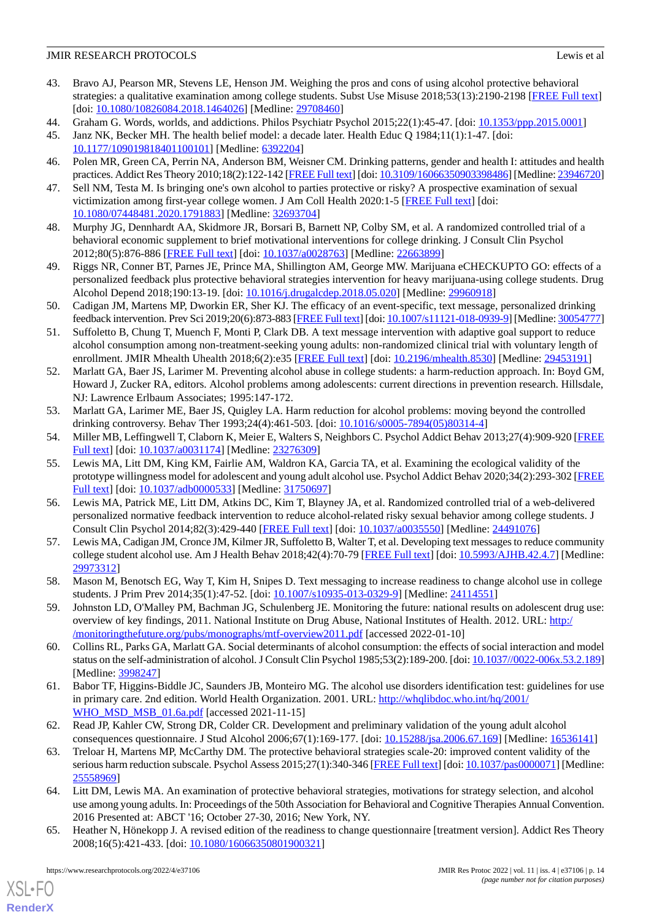- <span id="page-13-0"></span>43. Bravo AJ, Pearson MR, Stevens LE, Henson JM. Weighing the pros and cons of using alcohol protective behavioral strategies: a qualitative examination among college students. Subst Use Misuse 2018;53(13):2190-2198 [[FREE Full text](http://europepmc.org/abstract/MED/29708460)] [doi: [10.1080/10826084.2018.1464026](http://dx.doi.org/10.1080/10826084.2018.1464026)] [Medline: [29708460\]](http://www.ncbi.nlm.nih.gov/entrez/query.fcgi?cmd=Retrieve&db=PubMed&list_uids=29708460&dopt=Abstract)
- <span id="page-13-1"></span>44. Graham G. Words, worlds, and addictions. Philos Psychiatr Psychol 2015;22(1):45-47. [doi: [10.1353/ppp.2015.0001](http://dx.doi.org/10.1353/ppp.2015.0001)]
- <span id="page-13-2"></span>45. Janz NK, Becker MH. The health belief model: a decade later. Health Educ Q 1984;11(1):1-47. [doi: [10.1177/109019818401100101\]](http://dx.doi.org/10.1177/109019818401100101) [Medline: [6392204\]](http://www.ncbi.nlm.nih.gov/entrez/query.fcgi?cmd=Retrieve&db=PubMed&list_uids=6392204&dopt=Abstract)
- <span id="page-13-3"></span>46. Polen MR, Green CA, Perrin NA, Anderson BM, Weisner CM. Drinking patterns, gender and health I: attitudes and health practices. Addict Res Theory 2010;18(2):122-142 [\[FREE Full text\]](http://europepmc.org/abstract/MED/23946720) [doi: [10.3109/16066350903398486\]](http://dx.doi.org/10.3109/16066350903398486) [Medline: [23946720](http://www.ncbi.nlm.nih.gov/entrez/query.fcgi?cmd=Retrieve&db=PubMed&list_uids=23946720&dopt=Abstract)]
- <span id="page-13-4"></span>47. Sell NM, Testa M. Is bringing one's own alcohol to parties protective or risky? A prospective examination of sexual victimization among first-year college women. J Am Coll Health 2020:1-5 [[FREE Full text](http://europepmc.org/abstract/MED/32693704)] [doi: [10.1080/07448481.2020.1791883\]](http://dx.doi.org/10.1080/07448481.2020.1791883) [Medline: [32693704\]](http://www.ncbi.nlm.nih.gov/entrez/query.fcgi?cmd=Retrieve&db=PubMed&list_uids=32693704&dopt=Abstract)
- <span id="page-13-5"></span>48. Murphy JG, Dennhardt AA, Skidmore JR, Borsari B, Barnett NP, Colby SM, et al. A randomized controlled trial of a behavioral economic supplement to brief motivational interventions for college drinking. J Consult Clin Psychol 2012;80(5):876-886 [[FREE Full text](http://europepmc.org/abstract/MED/22663899)] [doi: [10.1037/a0028763](http://dx.doi.org/10.1037/a0028763)] [Medline: [22663899](http://www.ncbi.nlm.nih.gov/entrez/query.fcgi?cmd=Retrieve&db=PubMed&list_uids=22663899&dopt=Abstract)]
- <span id="page-13-6"></span>49. Riggs NR, Conner BT, Parnes JE, Prince MA, Shillington AM, George MW. Marijuana eCHECKUPTO GO: effects of a personalized feedback plus protective behavioral strategies intervention for heavy marijuana-using college students. Drug Alcohol Depend 2018;190:13-19. [doi: [10.1016/j.drugalcdep.2018.05.020\]](http://dx.doi.org/10.1016/j.drugalcdep.2018.05.020) [Medline: [29960918](http://www.ncbi.nlm.nih.gov/entrez/query.fcgi?cmd=Retrieve&db=PubMed&list_uids=29960918&dopt=Abstract)]
- <span id="page-13-7"></span>50. Cadigan JM, Martens MP, Dworkin ER, Sher KJ. The efficacy of an event-specific, text message, personalized drinking feedback intervention. Prev Sci 2019;20(6):873-883 [\[FREE Full text](http://europepmc.org/abstract/MED/30054777)] [doi: [10.1007/s11121-018-0939-9](http://dx.doi.org/10.1007/s11121-018-0939-9)] [Medline: [30054777\]](http://www.ncbi.nlm.nih.gov/entrez/query.fcgi?cmd=Retrieve&db=PubMed&list_uids=30054777&dopt=Abstract)
- <span id="page-13-8"></span>51. Suffoletto B, Chung T, Muench F, Monti P, Clark DB. A text message intervention with adaptive goal support to reduce alcohol consumption among non-treatment-seeking young adults: non-randomized clinical trial with voluntary length of enrollment. JMIR Mhealth Uhealth 2018;6(2):e35 [[FREE Full text](https://mhealth.jmir.org/2018/2/e35/)] [doi: [10.2196/mhealth.8530](http://dx.doi.org/10.2196/mhealth.8530)] [Medline: [29453191](http://www.ncbi.nlm.nih.gov/entrez/query.fcgi?cmd=Retrieve&db=PubMed&list_uids=29453191&dopt=Abstract)]
- <span id="page-13-9"></span>52. Marlatt GA, Baer JS, Larimer M. Preventing alcohol abuse in college students: a harm-reduction approach. In: Boyd GM, Howard J, Zucker RA, editors. Alcohol problems among adolescents: current directions in prevention research. Hillsdale, NJ: Lawrence Erlbaum Associates; 1995:147-172.
- <span id="page-13-11"></span><span id="page-13-10"></span>53. Marlatt GA, Larimer ME, Baer JS, Quigley LA. Harm reduction for alcohol problems: moving beyond the controlled drinking controversy. Behav Ther 1993;24(4):461-503. [doi: [10.1016/s0005-7894\(05\)80314-4\]](http://dx.doi.org/10.1016/s0005-7894(05)80314-4)
- 54. Miller MB, Leffingwell T, Claborn K, Meier E, Walters S, Neighbors C. Psychol Addict Behav 2013;27(4):909-920 [\[FREE](http://europepmc.org/abstract/MED/23276309) [Full text\]](http://europepmc.org/abstract/MED/23276309) [doi: [10.1037/a0031174\]](http://dx.doi.org/10.1037/a0031174) [Medline: [23276309\]](http://www.ncbi.nlm.nih.gov/entrez/query.fcgi?cmd=Retrieve&db=PubMed&list_uids=23276309&dopt=Abstract)
- <span id="page-13-12"></span>55. Lewis MA, Litt DM, King KM, Fairlie AM, Waldron KA, Garcia TA, et al. Examining the ecological validity of the prototype willingness model for adolescent and young adult alcohol use. Psychol Addict Behav 2020;34(2):293-302 [\[FREE](http://europepmc.org/abstract/MED/31750697) [Full text\]](http://europepmc.org/abstract/MED/31750697) [doi: [10.1037/adb0000533\]](http://dx.doi.org/10.1037/adb0000533) [Medline: [31750697\]](http://www.ncbi.nlm.nih.gov/entrez/query.fcgi?cmd=Retrieve&db=PubMed&list_uids=31750697&dopt=Abstract)
- <span id="page-13-13"></span>56. Lewis MA, Patrick ME, Litt DM, Atkins DC, Kim T, Blayney JA, et al. Randomized controlled trial of a web-delivered personalized normative feedback intervention to reduce alcohol-related risky sexual behavior among college students. J Consult Clin Psychol 2014;82(3):429-440 [\[FREE Full text\]](http://europepmc.org/abstract/MED/24491076) [doi: [10.1037/a0035550\]](http://dx.doi.org/10.1037/a0035550) [Medline: [24491076](http://www.ncbi.nlm.nih.gov/entrez/query.fcgi?cmd=Retrieve&db=PubMed&list_uids=24491076&dopt=Abstract)]
- <span id="page-13-15"></span><span id="page-13-14"></span>57. Lewis MA, Cadigan JM, Cronce JM, Kilmer JR, Suffoletto B, Walter T, et al. Developing text messages to reduce community college student alcohol use. Am J Health Behav 2018;42(4):70-79 [[FREE Full text\]](http://europepmc.org/abstract/MED/29973312) [doi: [10.5993/AJHB.42.4.7\]](http://dx.doi.org/10.5993/AJHB.42.4.7) [Medline: [29973312](http://www.ncbi.nlm.nih.gov/entrez/query.fcgi?cmd=Retrieve&db=PubMed&list_uids=29973312&dopt=Abstract)]
- <span id="page-13-16"></span>58. Mason M, Benotsch EG, Way T, Kim H, Snipes D. Text messaging to increase readiness to change alcohol use in college students. J Prim Prev 2014;35(1):47-52. [doi: [10.1007/s10935-013-0329-9](http://dx.doi.org/10.1007/s10935-013-0329-9)] [Medline: [24114551](http://www.ncbi.nlm.nih.gov/entrez/query.fcgi?cmd=Retrieve&db=PubMed&list_uids=24114551&dopt=Abstract)]
- <span id="page-13-17"></span>59. Johnston LD, O'Malley PM, Bachman JG, Schulenberg JE. Monitoring the future: national results on adolescent drug use: overview of key findings, 2011. National Institute on Drug Abuse, National Institutes of Health. 2012. URL: [http:/](http://monitoringthefuture.org/pubs/monographs/mtf-overview2011.pdf) [/monitoringthefuture.org/pubs/monographs/mtf-overview2011.pdf](http://monitoringthefuture.org/pubs/monographs/mtf-overview2011.pdf) [accessed 2022-01-10]
- <span id="page-13-18"></span>60. Collins RL, Parks GA, Marlatt GA. Social determinants of alcohol consumption: the effects of social interaction and model status on the self-administration of alcohol. J Consult Clin Psychol 1985;53(2):189-200. [doi: [10.1037//0022-006x.53.2.189\]](http://dx.doi.org/10.1037//0022-006x.53.2.189) [Medline: [3998247\]](http://www.ncbi.nlm.nih.gov/entrez/query.fcgi?cmd=Retrieve&db=PubMed&list_uids=3998247&dopt=Abstract)
- <span id="page-13-19"></span>61. Babor TF, Higgins-Biddle JC, Saunders JB, Monteiro MG. The alcohol use disorders identification test: guidelines for use in primary care. 2nd edition. World Health Organization. 2001. URL: [http://whqlibdoc.who.int/hq/2001/](http://whqlibdoc.who.int/hq/2001/WHO_MSD_MSB_01.6a.pdf) [WHO\\_MSD\\_MSB\\_01.6a.pdf](http://whqlibdoc.who.int/hq/2001/WHO_MSD_MSB_01.6a.pdf) [accessed 2021-11-15]
- <span id="page-13-20"></span>62. Read JP, Kahler CW, Strong DR, Colder CR. Development and preliminary validation of the young adult alcohol consequences questionnaire. J Stud Alcohol 2006;67(1):169-177. [doi: [10.15288/jsa.2006.67.169\]](http://dx.doi.org/10.15288/jsa.2006.67.169) [Medline: [16536141](http://www.ncbi.nlm.nih.gov/entrez/query.fcgi?cmd=Retrieve&db=PubMed&list_uids=16536141&dopt=Abstract)]
- <span id="page-13-21"></span>63. Treloar H, Martens MP, McCarthy DM. The protective behavioral strategies scale-20: improved content validity of the serious harm reduction subscale. Psychol Assess 2015;27(1):340-346 [\[FREE Full text](http://europepmc.org/abstract/MED/25558969)] [doi: [10.1037/pas0000071\]](http://dx.doi.org/10.1037/pas0000071) [Medline: [25558969](http://www.ncbi.nlm.nih.gov/entrez/query.fcgi?cmd=Retrieve&db=PubMed&list_uids=25558969&dopt=Abstract)]
- 64. Litt DM, Lewis MA. An examination of protective behavioral strategies, motivations for strategy selection, and alcohol use among young adults. In: Proceedings of the 50th Association for Behavioral and Cognitive Therapies Annual Convention. 2016 Presented at: ABCT '16; October 27-30, 2016; New York, NY.
- 65. Heather N, Hönekopp J. A revised edition of the readiness to change questionnaire [treatment version]. Addict Res Theory 2008;16(5):421-433. [doi: [10.1080/16066350801900321\]](http://dx.doi.org/10.1080/16066350801900321)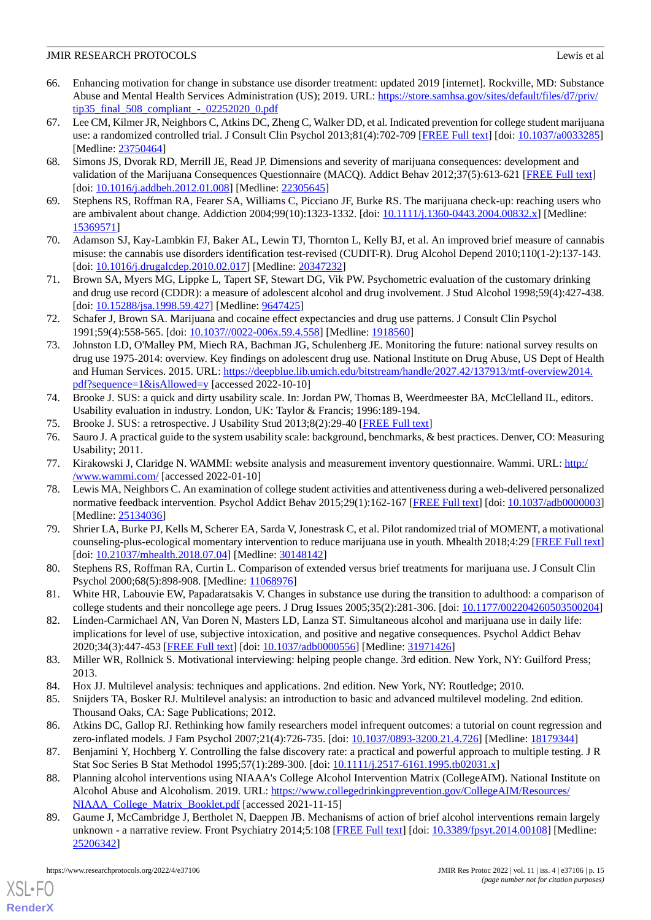- <span id="page-14-0"></span>66. Enhancing motivation for change in substance use disorder treatment: updated 2019 [internet]. Rockville, MD: Substance Abuse and Mental Health Services Administration (US); 2019. URL: [https://store.samhsa.gov/sites/default/files/d7/priv/](https://store.samhsa.gov/sites/default/files/d7/priv/tip35_final_508_compliant_-_02252020_0.pdf)  $tip35$  final 508 compliant - 02252020 0.pdf
- <span id="page-14-1"></span>67. Lee CM, Kilmer JR, Neighbors C, Atkins DC, Zheng C, Walker DD, et al. Indicated prevention for college student marijuana use: a randomized controlled trial. J Consult Clin Psychol 2013;81(4):702-709 [\[FREE Full text\]](http://europepmc.org/abstract/MED/23750464) [doi: [10.1037/a0033285\]](http://dx.doi.org/10.1037/a0033285) [Medline: [23750464](http://www.ncbi.nlm.nih.gov/entrez/query.fcgi?cmd=Retrieve&db=PubMed&list_uids=23750464&dopt=Abstract)]
- <span id="page-14-2"></span>68. Simons JS, Dvorak RD, Merrill JE, Read JP. Dimensions and severity of marijuana consequences: development and validation of the Marijuana Consequences Questionnaire (MACQ). Addict Behav 2012;37(5):613-621 [\[FREE Full text\]](http://europepmc.org/abstract/MED/22305645) [doi: [10.1016/j.addbeh.2012.01.008\]](http://dx.doi.org/10.1016/j.addbeh.2012.01.008) [Medline: [22305645\]](http://www.ncbi.nlm.nih.gov/entrez/query.fcgi?cmd=Retrieve&db=PubMed&list_uids=22305645&dopt=Abstract)
- <span id="page-14-4"></span><span id="page-14-3"></span>69. Stephens RS, Roffman RA, Fearer SA, Williams C, Picciano JF, Burke RS. The marijuana check-up: reaching users who are ambivalent about change. Addiction 2004;99(10):1323-1332. [doi: [10.1111/j.1360-0443.2004.00832.x\]](http://dx.doi.org/10.1111/j.1360-0443.2004.00832.x) [Medline: [15369571](http://www.ncbi.nlm.nih.gov/entrez/query.fcgi?cmd=Retrieve&db=PubMed&list_uids=15369571&dopt=Abstract)]
- <span id="page-14-5"></span>70. Adamson SJ, Kay-Lambkin FJ, Baker AL, Lewin TJ, Thornton L, Kelly BJ, et al. An improved brief measure of cannabis misuse: the cannabis use disorders identification test-revised (CUDIT-R). Drug Alcohol Depend 2010;110(1-2):137-143. [doi: [10.1016/j.drugalcdep.2010.02.017](http://dx.doi.org/10.1016/j.drugalcdep.2010.02.017)] [Medline: [20347232](http://www.ncbi.nlm.nih.gov/entrez/query.fcgi?cmd=Retrieve&db=PubMed&list_uids=20347232&dopt=Abstract)]
- <span id="page-14-6"></span>71. Brown SA, Myers MG, Lippke L, Tapert SF, Stewart DG, Vik PW. Psychometric evaluation of the customary drinking and drug use record (CDDR): a measure of adolescent alcohol and drug involvement. J Stud Alcohol 1998;59(4):427-438. [doi: [10.15288/jsa.1998.59.427\]](http://dx.doi.org/10.15288/jsa.1998.59.427) [Medline: [9647425\]](http://www.ncbi.nlm.nih.gov/entrez/query.fcgi?cmd=Retrieve&db=PubMed&list_uids=9647425&dopt=Abstract)
- <span id="page-14-7"></span>72. Schafer J, Brown SA. Marijuana and cocaine effect expectancies and drug use patterns. J Consult Clin Psychol 1991;59(4):558-565. [doi: [10.1037//0022-006x.59.4.558](http://dx.doi.org/10.1037//0022-006x.59.4.558)] [Medline: [1918560](http://www.ncbi.nlm.nih.gov/entrez/query.fcgi?cmd=Retrieve&db=PubMed&list_uids=1918560&dopt=Abstract)]
- <span id="page-14-8"></span>73. Johnston LD, O'Malley PM, Miech RA, Bachman JG, Schulenberg JE. Monitoring the future: national survey results on drug use 1975-2014: overview. Key findings on adolescent drug use. National Institute on Drug Abuse, US Dept of Health and Human Services. 2015. URL: [https://deepblue.lib.umich.edu/bitstream/handle/2027.42/137913/mtf-overview2014.](https://deepblue.lib.umich.edu/bitstream/handle/2027.42/137913/mtf-overview2014.pdf?sequence=1&isAllowed=y) [pdf?sequence=1&isAllowed=y](https://deepblue.lib.umich.edu/bitstream/handle/2027.42/137913/mtf-overview2014.pdf?sequence=1&isAllowed=y) [accessed 2022-10-10]
- <span id="page-14-9"></span>74. Brooke J. SUS: a quick and dirty usability scale. In: Jordan PW, Thomas B, Weerdmeester BA, McClelland IL, editors. Usability evaluation in industry. London, UK: Taylor & Francis; 1996:189-194.
- <span id="page-14-10"></span>75. Brooke J. SUS: a retrospective. J Usability Stud 2013;8(2):29-40 [[FREE Full text](https://uxpajournal.org/sus-a-retrospective)]
- <span id="page-14-11"></span>76. Sauro J. A practical guide to the system usability scale: background, benchmarks, & best practices. Denver, CO: Measuring Usability; 2011.
- <span id="page-14-12"></span>77. Kirakowski J, Claridge N. WAMMI: website analysis and measurement inventory questionnaire. Wammi. URL: [http:/](http://www.wammi.com/) [/www.wammi.com/](http://www.wammi.com/) [accessed 2022-01-10]
- 78. Lewis MA, Neighbors C. An examination of college student activities and attentiveness during a web-delivered personalized normative feedback intervention. Psychol Addict Behav 2015;29(1):162-167 [[FREE Full text\]](http://europepmc.org/abstract/MED/25134036) [doi: [10.1037/adb0000003](http://dx.doi.org/10.1037/adb0000003)] [Medline: [25134036](http://www.ncbi.nlm.nih.gov/entrez/query.fcgi?cmd=Retrieve&db=PubMed&list_uids=25134036&dopt=Abstract)]
- <span id="page-14-14"></span><span id="page-14-13"></span>79. Shrier LA, Burke PJ, Kells M, Scherer EA, Sarda V, Jonestrask C, et al. Pilot randomized trial of MOMENT, a motivational counseling-plus-ecological momentary intervention to reduce marijuana use in youth. Mhealth 2018;4:29 [[FREE Full text](https://doi.org/10.21037/mhealth.2018.07.04)] [doi: [10.21037/mhealth.2018.07.04\]](http://dx.doi.org/10.21037/mhealth.2018.07.04) [Medline: [30148142\]](http://www.ncbi.nlm.nih.gov/entrez/query.fcgi?cmd=Retrieve&db=PubMed&list_uids=30148142&dopt=Abstract)
- <span id="page-14-15"></span>80. Stephens RS, Roffman RA, Curtin L. Comparison of extended versus brief treatments for marijuana use. J Consult Clin Psychol 2000;68(5):898-908. [Medline: [11068976](http://www.ncbi.nlm.nih.gov/entrez/query.fcgi?cmd=Retrieve&db=PubMed&list_uids=11068976&dopt=Abstract)]
- <span id="page-14-16"></span>81. White HR, Labouvie EW, Papadaratsakis V. Changes in substance use during the transition to adulthood: a comparison of college students and their noncollege age peers. J Drug Issues 2005;35(2):281-306. [doi: [10.1177/002204260503500204](http://dx.doi.org/10.1177/002204260503500204)]
- <span id="page-14-18"></span><span id="page-14-17"></span>82. Linden-Carmichael AN, Van Doren N, Masters LD, Lanza ST. Simultaneous alcohol and marijuana use in daily life: implications for level of use, subjective intoxication, and positive and negative consequences. Psychol Addict Behav 2020;34(3):447-453 [[FREE Full text](http://europepmc.org/abstract/MED/31971426)] [doi: [10.1037/adb0000556](http://dx.doi.org/10.1037/adb0000556)] [Medline: [31971426](http://www.ncbi.nlm.nih.gov/entrez/query.fcgi?cmd=Retrieve&db=PubMed&list_uids=31971426&dopt=Abstract)]
- <span id="page-14-19"></span>83. Miller WR, Rollnick S. Motivational interviewing: helping people change. 3rd edition. New York, NY: Guilford Press; 2013.
- <span id="page-14-20"></span>84. Hox JJ. Multilevel analysis: techniques and applications. 2nd edition. New York, NY: Routledge; 2010.
- <span id="page-14-21"></span>85. Snijders TA, Bosker RJ. Multilevel analysis: an introduction to basic and advanced multilevel modeling. 2nd edition. Thousand Oaks, CA: Sage Publications; 2012.
- <span id="page-14-22"></span>86. Atkins DC, Gallop RJ. Rethinking how family researchers model infrequent outcomes: a tutorial on count regression and zero-inflated models. J Fam Psychol 2007;21(4):726-735. [doi: [10.1037/0893-3200.21.4.726\]](http://dx.doi.org/10.1037/0893-3200.21.4.726) [Medline: [18179344\]](http://www.ncbi.nlm.nih.gov/entrez/query.fcgi?cmd=Retrieve&db=PubMed&list_uids=18179344&dopt=Abstract)
- 87. Benjamini Y, Hochberg Y. Controlling the false discovery rate: a practical and powerful approach to multiple testing. J R Stat Soc Series B Stat Methodol 1995;57(1):289-300. [doi: [10.1111/j.2517-6161.1995.tb02031.x\]](http://dx.doi.org/10.1111/j.2517-6161.1995.tb02031.x)
- 88. Planning alcohol interventions using NIAAA's College Alcohol Intervention Matrix (CollegeAIM). National Institute on Alcohol Abuse and Alcoholism. 2019. URL: [https://www.collegedrinkingprevention.gov/CollegeAIM/Resources/](https://www.collegedrinkingprevention.gov/CollegeAIM/Resources/NIAAA_College_Matrix_Booklet.pdf) [NIAAA\\_College\\_Matrix\\_Booklet.pdf](https://www.collegedrinkingprevention.gov/CollegeAIM/Resources/NIAAA_College_Matrix_Booklet.pdf) [accessed 2021-11-15]
- 89. Gaume J, McCambridge J, Bertholet N, Daeppen JB. Mechanisms of action of brief alcohol interventions remain largely unknown - a narrative review. Front Psychiatry 2014;5:108 [[FREE Full text](https://doi.org/10.3389/fpsyt.2014.00108)] [doi: [10.3389/fpsyt.2014.00108\]](http://dx.doi.org/10.3389/fpsyt.2014.00108) [Medline: [25206342](http://www.ncbi.nlm.nih.gov/entrez/query.fcgi?cmd=Retrieve&db=PubMed&list_uids=25206342&dopt=Abstract)]